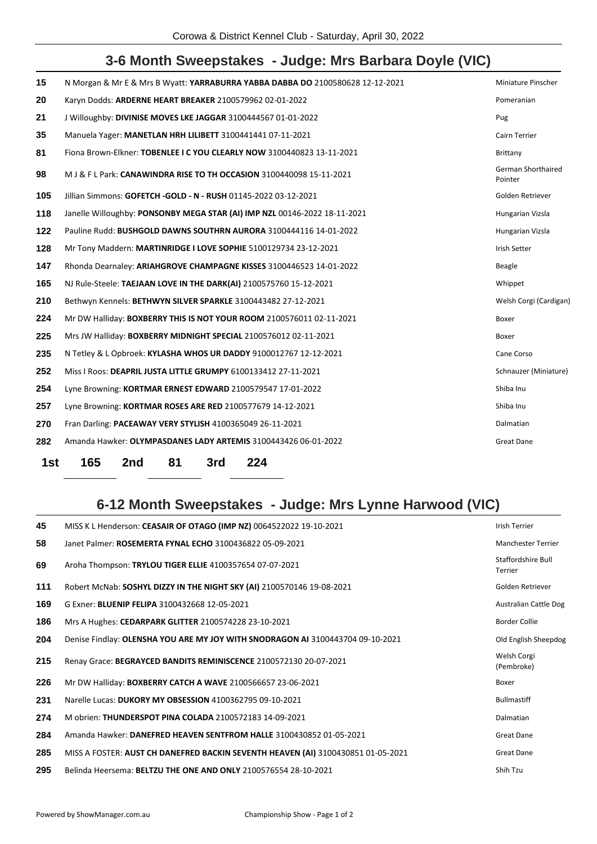## **3-6 Month Sweepstakes - Judge: Mrs Barbara Doyle (VIC)**

| 15  | N Morgan & Mr E & Mrs B Wyatt: YARRABURRA YABBA DABBA DO 2100580628 12-12-2021 | Miniature Pinscher            |
|-----|--------------------------------------------------------------------------------|-------------------------------|
| 20  | Karyn Dodds: ARDERNE HEART BREAKER 2100579962 02-01-2022                       | Pomeranian                    |
| 21  | J Willoughby: DIVINISE MOVES LKE JAGGAR 3100444567 01-01-2022                  | Pug                           |
| 35  | Manuela Yager: MANETLAN HRH LILIBETT 3100441441 07-11-2021                     | Cairn Terrier                 |
| 81  | Fiona Brown-Elkner: TOBENLEE I C YOU CLEARLY NOW 3100440823 13-11-2021         | Brittany                      |
| 98  | M J & F L Park: CANAWINDRA RISE TO TH OCCASION 3100440098 15-11-2021           | German Shorthaired<br>Pointer |
| 105 | Jillian Simmons: GOFETCH -GOLD - N - RUSH 01145-2022 03-12-2021                | Golden Retriever              |
| 118 | Janelle Willoughby: PONSONBY MEGA STAR (AI) IMP NZL 00146-2022 18-11-2021      | Hungarian Vizsla              |
| 122 | Pauline Rudd: BUSHGOLD DAWNS SOUTHRN AURORA 3100444116 14-01-2022              | Hungarian Vizsla              |
| 128 | Mr Tony Maddern: MARTINRIDGE I LOVE SOPHIE 5100129734 23-12-2021               | <b>Irish Setter</b>           |
| 147 | Rhonda Dearnaley: ARIAHGROVE CHAMPAGNE KISSES 3100446523 14-01-2022            | Beagle                        |
| 165 | NJ Rule-Steele: TAEJAAN LOVE IN THE DARK(AI) 2100575760 15-12-2021             | Whippet                       |
| 210 | Bethwyn Kennels: BETHWYN SILVER SPARKLE 3100443482 27-12-2021                  | Welsh Corgi (Cardigan)        |
| 224 | Mr DW Halliday: BOXBERRY THIS IS NOT YOUR ROOM 2100576011 02-11-2021           | Boxer                         |
| 225 | Mrs JW Halliday: BOXBERRY MIDNIGHT SPECIAL 2100576012 02-11-2021               | Boxer                         |
| 235 | N Tetley & L Opbroek: KYLASHA WHOS UR DADDY 9100012767 12-12-2021              | Cane Corso                    |
| 252 | Miss I Roos: DEAPRIL JUSTA LITTLE GRUMPY 6100133412 27-11-2021                 | Schnauzer (Miniature)         |
| 254 | Lyne Browning: KORTMAR ERNEST EDWARD 2100579547 17-01-2022                     | Shiba Inu                     |
| 257 | Lyne Browning: KORTMAR ROSES ARE RED 2100577679 14-12-2021                     | Shiba Inu                     |
| 270 | Fran Darling: PACEAWAY VERY STYLISH 4100365049 26-11-2021                      | Dalmatian                     |
| 282 | Amanda Hawker: OLYMPASDANES LADY ARTEMIS 3100443426 06-01-2022                 | Great Dane                    |
|     |                                                                                |                               |

**1st 165 2nd 81 3rd 224**

## **6-12 Month Sweepstakes - Judge: Mrs Lynne Harwood (VIC)**

| <b>Manchester Terrier</b><br>Staffordshire Bull<br><b>Terrier</b><br>Golden Retriever<br><b>Australian Cattle Dog</b><br><b>Border Collie</b> |
|-----------------------------------------------------------------------------------------------------------------------------------------------|
|                                                                                                                                               |
|                                                                                                                                               |
|                                                                                                                                               |
|                                                                                                                                               |
|                                                                                                                                               |
| Old English Sheepdog                                                                                                                          |
| Welsh Corgi<br>(Pembroke)                                                                                                                     |
|                                                                                                                                               |
| <b>Bullmastiff</b>                                                                                                                            |
| Dalmatian                                                                                                                                     |
| <b>Great Dane</b>                                                                                                                             |
|                                                                                                                                               |
| Great Dane                                                                                                                                    |
|                                                                                                                                               |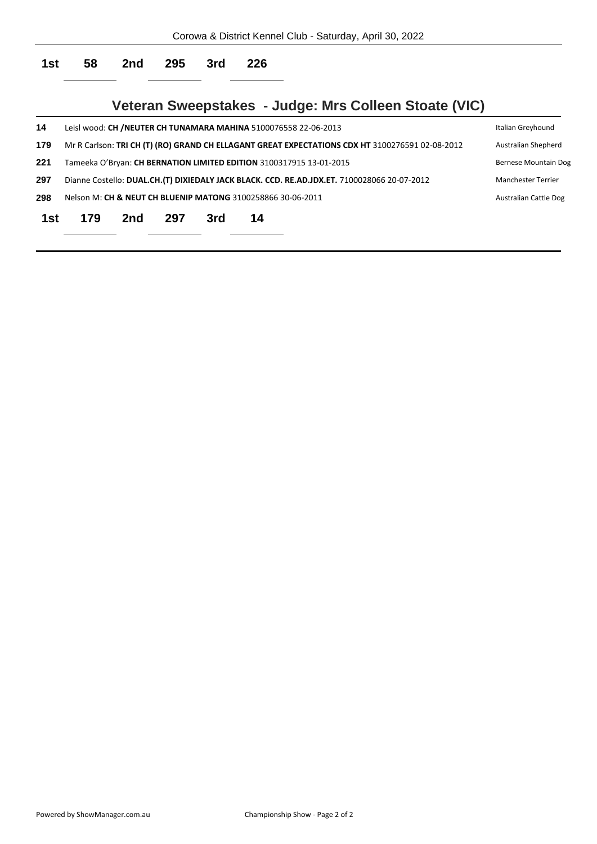|     |     |     |     |     |                                                             | Corowa & District Kennel Club - Saturday, April 30, 2022                                        |                           |
|-----|-----|-----|-----|-----|-------------------------------------------------------------|-------------------------------------------------------------------------------------------------|---------------------------|
| 1st | 58  | 2nd | 295 | 3rd | 226                                                         |                                                                                                 |                           |
|     |     |     |     |     |                                                             | Veteran Sweepstakes - Judge: Mrs Colleen Stoate (VIC)                                           |                           |
| 14  |     |     |     |     |                                                             | Leisl wood: CH /NEUTER CH TUNAMARA MAHINA 5100076558 22-06-2013                                 | Italian Greyhound         |
| 179 |     |     |     |     |                                                             | Mr R Carlson: TRI CH (T) (RO) GRAND CH ELLAGANT GREAT EXPECTATIONS CDX HT 3100276591 02-08-2012 | Australian Shepherd       |
| 221 |     |     |     |     |                                                             | Tameeka O'Bryan: CH BERNATION LIMITED EDITION 3100317915 13-01-2015                             | Bernese Mountain Dog      |
| 297 |     |     |     |     |                                                             | Dianne Costello: DUAL.CH.(T) DIXIEDALY JACK BLACK. CCD. RE.AD.JDX.ET. 7100028066 20-07-2012     | <b>Manchester Terrier</b> |
| 298 |     |     |     |     | Nelson M: CH & NEUT CH BLUENIP MATONG 3100258866 30-06-2011 |                                                                                                 | Australian Cattle Dog     |
| 1st | 179 | 2nd | 297 | 3rd | 14                                                          |                                                                                                 |                           |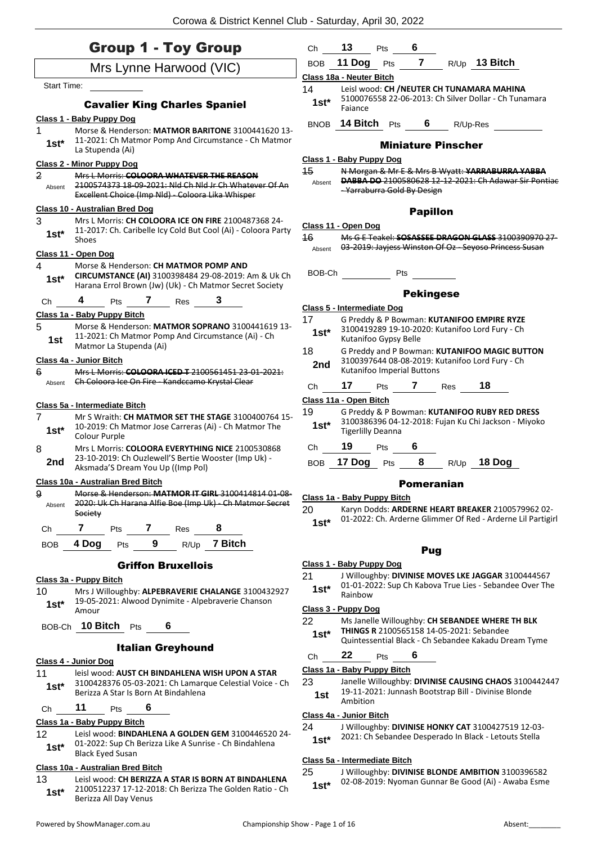|                          | <b>Group 1 - Toy Group</b>                                                                                                                                          | <b>BOB</b>   | 11 Dog                          | Pts | $\overline{7}$   |                           | R/Up 13 Bitch                                                                                                    |  |
|--------------------------|---------------------------------------------------------------------------------------------------------------------------------------------------------------------|--------------|---------------------------------|-----|------------------|---------------------------|------------------------------------------------------------------------------------------------------------------|--|
|                          | Mrs Lynne Harwood (VIC)                                                                                                                                             |              | Class 18a - Neuter Bitch        |     |                  |                           |                                                                                                                  |  |
| <b>Start Time:</b>       |                                                                                                                                                                     | 14           |                                 |     |                  |                           | Leisl wood: CH / NEUTER CH TUNAMARA MAHINA                                                                       |  |
|                          | <b>Cavalier King Charles Spaniel</b>                                                                                                                                | $1st*$       | Faiance                         |     |                  |                           | 5100076558 22-06-2013: Ch Silver Dollar - Ch Tunamara                                                            |  |
|                          | Class 1 - Baby Puppy Dog                                                                                                                                            |              |                                 |     |                  |                           |                                                                                                                  |  |
| 1                        | Morse & Henderson: MATMOR BARITONE 3100441620 13-                                                                                                                   |              | BNOB 14 Bitch Pts               |     | 6                |                           | R/Up-Res                                                                                                         |  |
| $1st*$                   | 11-2021: Ch Matmor Pomp And Circumstance - Ch Matmor<br>La Stupenda (Ai)                                                                                            |              |                                 |     |                  | <b>Miniature Pinscher</b> |                                                                                                                  |  |
|                          | <b>Class 2 - Minor Puppy Dog</b>                                                                                                                                    |              | <b>Class 1 - Baby Puppy Dog</b> |     |                  |                           |                                                                                                                  |  |
| $\overline{2}$<br>Absent | Mrs L Morris: COLOORA WHATEVER THE REASON<br>2100574373 18-09-2021: Nid Ch Nid Jr Ch Whatever Of An<br>Excellent Choice (Imp Nld) Coloora Lika Whisper              | 45<br>Absent | - Yarraburra Gold By Design     |     |                  |                           | N Morgan & Mr E & Mrs B Wyatt: YARRABURRA YABBA<br><b>DABBA DO 2100580628 12 12 2021: Ch Adawar Sir Pontiac</b>  |  |
|                          | Class 10 - Australian Bred Dog                                                                                                                                      |              |                                 |     | <b>Papillon</b>  |                           |                                                                                                                  |  |
| 3                        | Mrs L Morris: CH COLOORA ICE ON FIRE 2100487368 24-                                                                                                                 |              | Class 11 - Open Dog             |     |                  |                           |                                                                                                                  |  |
| $1st^*$                  | 11-2017: Ch. Caribelle Icy Cold But Cool (Ai) - Coloora Party<br>Shoes                                                                                              | 16           |                                 |     |                  |                           | Ms G E Teakel: SOSASSEE DRAGON GLASS 3100390970 27                                                               |  |
|                          | Class 11 - Open Dog                                                                                                                                                 | Absent       |                                 |     |                  |                           | 03-2019: Jayjess Winston Of Oz - Seyoso Princess Susan                                                           |  |
| 4<br>$1st*$              | Morse & Henderson: CH MATMOR POMP AND<br>CIRCUMSTANCE (AI) 3100398484 29-08-2019: Am & Uk Ch                                                                        | BOB-Ch       |                                 | Pts |                  |                           |                                                                                                                  |  |
|                          | Harana Errol Brown (Jw) (Uk) - Ch Matmor Secret Society                                                                                                             |              |                                 |     | <b>Pekingese</b> |                           |                                                                                                                  |  |
| Ch                       | 4<br>7<br>3<br>Pts<br>Res                                                                                                                                           |              | Class 5 - Intermediate Dog      |     |                  |                           |                                                                                                                  |  |
|                          | Class 1a - Baby Puppy Bitch                                                                                                                                         | 17           |                                 |     |                  |                           | G Preddy & P Bowman: KUTANIFOO EMPIRE RYZE                                                                       |  |
| 5<br>1st                 | Morse & Henderson: MATMOR SOPRANO 3100441619 13-<br>11-2021: Ch Matmor Pomp And Circumstance (Ai) - Ch<br>Matmor La Stupenda (Ai)                                   | $1st^*$      | Kutanifoo Gypsy Belle           |     |                  |                           | 3100419289 19-10-2020: Kutanifoo Lord Fury - Ch                                                                  |  |
|                          | Class 4a - Junior Bitch                                                                                                                                             | 18           |                                 |     |                  |                           | G Preddy and P Bowman: KUTANIFOO MAGIC BUTTON<br>3100397644 08-08-2019: Kutanifoo Lord Fury - Ch                 |  |
| 6                        | Mrs L Morris: COLOORA ICED T 2100561451 23-01-2021:                                                                                                                 | 2nd          | Kutanifoo Imperial Buttons      |     |                  |                           |                                                                                                                  |  |
| Absent                   | Ch Coloora Ice On Fire - Kandccamo Krystal Clear                                                                                                                    | Ch           | 17                              | Pts |                  | <b>7</b> Res              | 18                                                                                                               |  |
|                          |                                                                                                                                                                     |              | Class 11a - Open Bitch          |     |                  |                           |                                                                                                                  |  |
| 7<br>$1st*$              | Class 5a - Intermediate Bitch<br>Mr S Wraith: CH MATMOR SET THE STAGE 3100400764 15-<br>10-2019: Ch Matmor Jose Carreras (Ai) - Ch Matmor The<br>Colour Purple      | 19<br>$1st*$ | <b>Tigerlilly Deanna</b>        |     |                  |                           | G Preddy & P Bowman: KUTANIFOO RUBY RED DRESS<br>3100386396 04-12-2018: Fujan Ku Chi Jackson - Miyoko            |  |
| 8                        | Mrs L Morris: COLOORA EVERYTHING NICE 2100530868                                                                                                                    | Ch           | 19                              | Pts | 6                |                           |                                                                                                                  |  |
| 2nd                      | 23-10-2019: Ch Ouzlewell'S Bertie Wooster (Imp Uk) -<br>Aksmada'S Dream You Up ((Imp Pol)                                                                           | <b>BOB</b>   | 17 Dog                          | Pts | 8                | R/Up                      | 18 Dog                                                                                                           |  |
|                          | Class 10a - Australian Bred Bitch                                                                                                                                   |              |                                 |     |                  | Pomeranian                |                                                                                                                  |  |
| 9<br>Absent              | Morse & Henderson: MATMOR IT GIRL 3100414814 01 08<br>2020: Uk Ch Harana Alfie Boe (Imp Uk) Ch Matmor Secret<br>Society<br>$\mathbf{7}$<br>$\mathbf{7}$<br>8<br>Pts | 20<br>$1st*$ | Class 1a - Baby Puppy Bitch     |     |                  |                           | Karyn Dodds: ARDERNE HEART BREAKER 2100579962 02-<br>01-2022: Ch. Arderne Glimmer Of Red - Arderne Lil Partigirl |  |
| Ch                       | Res                                                                                                                                                                 |              |                                 |     |                  |                           |                                                                                                                  |  |
| BOB                      | 7 Bitch<br>9<br>4 Dog<br>R/Up<br>Pts                                                                                                                                |              |                                 |     | Pug              |                           |                                                                                                                  |  |
|                          | <b>Griffon Bruxellois</b>                                                                                                                                           |              | Class 1 - Baby Puppy Dog        |     |                  |                           |                                                                                                                  |  |
| 10                       | Class 3a - Puppy Bitch<br>Mrs J Willoughby: ALPEBRAVERIE CHALANGE 3100432927                                                                                        | 21<br>$1st*$ | Rainbow                         |     |                  |                           | J Willoughby: DIVINISE MOVES LKE JAGGAR 3100444567<br>01-01-2022: Sup Ch Kabova True Lies - Sebandee Over The    |  |
| $1st*$                   | 19-05-2021: Alwood Dynimite - Alpebraverie Chanson<br>Amour                                                                                                         |              | Class 3 - Puppy Dog             |     |                  |                           |                                                                                                                  |  |
|                          | BOB-Ch 10 Bitch Pts<br>6                                                                                                                                            | 22<br>$1st*$ |                                 |     |                  |                           | Ms Janelle Willoughby: CH SEBANDEE WHERE TH BLK<br>THINGS R 2100565158 14-05-2021: Sebandee                      |  |
|                          | <b>Italian Greyhound</b>                                                                                                                                            |              |                                 |     |                  |                           | Quintessential Black - Ch Sebandee Kakadu Dream Tyme                                                             |  |
|                          | Class 4 - Junior Dog                                                                                                                                                | Ch           | 22                              | Pts | 6                |                           |                                                                                                                  |  |
|                          | leisl wood: AUST CH BINDAHLENA WISH UPON A STAR                                                                                                                     |              | Class 1a - Baby Puppy Bitch     |     |                  |                           |                                                                                                                  |  |
| 11                       | 3100428376 05-03-2021: Ch Lamarque Celestial Voice - Ch                                                                                                             | 23           |                                 |     |                  |                           | Janelle Willoughby: DIVINISE CAUSING CHAOS 3100442447                                                            |  |
| $1st*$                   | Berizza A Star Is Born At Bindahlena                                                                                                                                | 1st          | Ambition                        |     |                  |                           | 19-11-2021: Junnash Bootstrap Bill - Divinise Blonde                                                             |  |
| Ch                       | 11<br>6<br>Pts<br>Class 1a - Baby Puppy Bitch                                                                                                                       |              | Class 4a - Junior Bitch         |     |                  |                           |                                                                                                                  |  |

## **Class 5a - Intermediate Bitch**

25 J Willoughby: **DIVINISE BLONDE AMBITION** 3100396582 02-08-2019: Nyoman Gunnar Be Good (Ai) - Awaba Esme **1st\***

**Class 10a - Australian Bred Bitch**

1st<sup>\*</sup> <sup>2100512237</sup> 17-12-20<br>Berizza All Day Venus

13 Leisl wood: **CH BERIZZA A STAR IS BORN AT BINDAHLENA**

2100512237 17-12-2018: Ch Berizza The Golden Ratio - Ch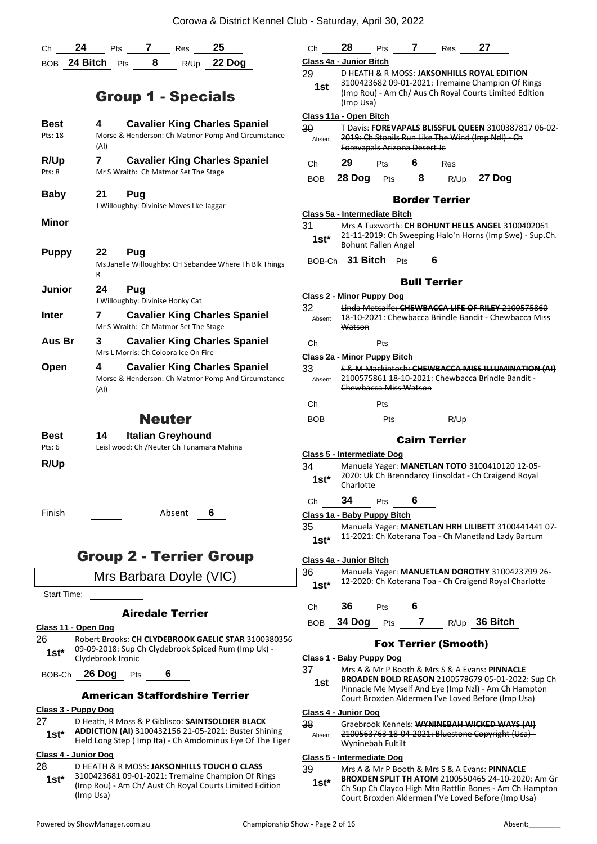Corowa & District Kennel Club - Saturday, April 30, 2022

| Ch                        | 24<br>25<br>Pts<br>7 Res                                                                                           | Ch                                                                                   | 28                            |                              |                            | Pts 7 Res 27                |                                                                                                               |
|---------------------------|--------------------------------------------------------------------------------------------------------------------|--------------------------------------------------------------------------------------|-------------------------------|------------------------------|----------------------------|-----------------------------|---------------------------------------------------------------------------------------------------------------|
|                           | BOB 24 Bitch Pts 8<br>R/Up 22 Dog                                                                                  |                                                                                      | Class 4a - Junior Bitch       |                              |                            |                             |                                                                                                               |
|                           |                                                                                                                    | 29                                                                                   |                               |                              |                            |                             | D HEATH & R MOSS: JAKSONHILLS ROYAL EDITION                                                                   |
|                           | <b>Group 1 - Specials</b>                                                                                          | 1st                                                                                  | (Imp Usa)                     |                              |                            |                             | 3100423682 09-01-2021: Tremaine Champion Of Rings<br>(Imp Rou) - Am Ch/ Aus Ch Royal Courts Limited Edition   |
|                           |                                                                                                                    |                                                                                      | Class 11a - Open Bitch        |                              |                            |                             |                                                                                                               |
| <b>Best</b>               | 4<br><b>Cavalier King Charles Spaniel</b>                                                                          | 30                                                                                   |                               |                              |                            |                             | T Davis: FOREVAPALS BLISSFUL QUEEN 3100387817 06 02-                                                          |
| Pts: 18                   | Morse & Henderson: Ch Matmor Pomp And Circumstance<br>(AI)                                                         | Absent                                                                               |                               | Forevapals Arizona Desert Jc |                            |                             | 2019: Ch Stonils Run Like The Wind (Imp Ndl) - Ch                                                             |
| R/Up                      | $\mathbf{7}$<br><b>Cavalier King Charles Spaniel</b>                                                               | Ch                                                                                   | 29                            |                              |                            |                             | Pts 6 Res                                                                                                     |
| Pts: 8                    | Mr S Wraith: Ch Matmor Set The Stage                                                                               | <b>BOB</b>                                                                           |                               |                              |                            |                             | 28 Dog Pts 8 R/Up 27 Dog                                                                                      |
| <b>Baby</b>               | 21<br>Pug                                                                                                          |                                                                                      |                               |                              |                            | <b>Border Terrier</b>       |                                                                                                               |
|                           | J Willoughby: Divinise Moves Lke Jaggar                                                                            |                                                                                      | Class 5a - Intermediate Bitch |                              |                            |                             |                                                                                                               |
| Minor                     |                                                                                                                    | 31                                                                                   |                               |                              |                            |                             | Mrs A Tuxworth: CH BOHUNT HELLS ANGEL 3100402061                                                              |
|                           |                                                                                                                    | $1st^*$                                                                              |                               |                              |                            |                             | 21-11-2019: Ch Sweeping Halo'n Horns (Imp Swe) - Sup.Ch.                                                      |
| <b>Puppy</b>              | 22<br>Pug                                                                                                          |                                                                                      |                               | <b>Bohunt Fallen Angel</b>   |                            |                             |                                                                                                               |
|                           | Ms Janelle Willoughby: CH Sebandee Where Th Blk Things<br>R                                                        |                                                                                      | BOB-Ch 31 Bitch Pts 6         |                              |                            |                             |                                                                                                               |
| Junior                    | 24<br>Pug                                                                                                          |                                                                                      |                               |                              | <b>Bull Terrier</b>        |                             |                                                                                                               |
|                           | J Willoughby: Divinise Honky Cat                                                                                   |                                                                                      | Class 2 - Minor Puppy Dog     |                              |                            |                             |                                                                                                               |
| <b>Inter</b>              | <b>Cavalier King Charles Spaniel</b><br>7                                                                          | 32                                                                                   |                               |                              |                            |                             | Linda Metcalfe: CHEWBACCA LIFE OF RILEY 2100575860<br>18-10-2021: Chewbacca Brindle Bandit - Chewbacca Miss   |
|                           | Mr S Wraith: Ch Matmor Set The Stage                                                                               | Absent                                                                               | Watson                        |                              |                            |                             |                                                                                                               |
| Aus Br                    | <b>Cavalier King Charles Spaniel</b><br>3.                                                                         | Ch                                                                                   |                               |                              | Pts $\qquad \qquad \qquad$ |                             |                                                                                                               |
|                           | Mrs L Morris: Ch Coloora Ice On Fire                                                                               |                                                                                      | Class 2a - Minor Puppy Bitch  |                              |                            |                             |                                                                                                               |
| Open                      | <b>Cavalier King Charles Spaniel</b><br>4                                                                          | 33 <sub>o</sub>                                                                      |                               |                              |                            |                             | S & M Mackintosh: CHEWBACCA MISS ILLUMINATION (AI)                                                            |
|                           | Morse & Henderson: Ch Matmor Pomp And Circumstance<br>(AI)                                                         | 2100575861 18-10-2021: Chewbacca Brindle Bandit -<br>Absent<br>Chewbacca Miss Watson |                               |                              |                            |                             |                                                                                                               |
|                           |                                                                                                                    |                                                                                      |                               |                              |                            |                             |                                                                                                               |
|                           | <b>Neuter</b>                                                                                                      |                                                                                      |                               |                              |                            |                             | BOB Pts R/Up                                                                                                  |
| Best                      | 14<br><b>Italian Greyhound</b>                                                                                     |                                                                                      |                               |                              |                            | <b>Cairn Terrier</b>        |                                                                                                               |
| Pts: 6                    | Leisl wood: Ch / Neuter Ch Tunamara Mahina                                                                         |                                                                                      | Class 5 - Intermediate Dog    |                              |                            |                             |                                                                                                               |
| R/Up                      |                                                                                                                    | 34                                                                                   |                               |                              |                            |                             | Manuela Yager: MANETLAN TOTO 3100410120 12-05-                                                                |
|                           |                                                                                                                    | $1st^*$                                                                              | Charlotte                     |                              |                            |                             | 2020: Uk Ch Brenndarcy Tinsoldat - Ch Craigend Royal                                                          |
|                           |                                                                                                                    | Ch                                                                                   | 34                            | Pts                          | 6                          |                             |                                                                                                               |
| Finish                    | Absent<br>6                                                                                                        |                                                                                      | Class 1a - Baby Puppy Bitch   |                              |                            |                             |                                                                                                               |
|                           |                                                                                                                    | 35                                                                                   |                               |                              |                            |                             | Manuela Yager: MANETLAN HRH LILIBETT 3100441441 07-                                                           |
|                           |                                                                                                                    | $1st*$                                                                               |                               |                              |                            |                             | 11-2021: Ch Koterana Toa - Ch Manetland Lady Bartum                                                           |
|                           | <b>Group 2 - Terrier Group</b>                                                                                     |                                                                                      | Class 4a - Junior Bitch       |                              |                            |                             |                                                                                                               |
|                           | Mrs Barbara Doyle (VIC)                                                                                            | 36                                                                                   |                               |                              |                            |                             | Manuela Yager: MANUETLAN DOROTHY 3100423799 26-                                                               |
| <b>Start Time:</b>        |                                                                                                                    | $1st*$                                                                               |                               |                              |                            |                             | 12-2020: Ch Koterana Toa - Ch Craigend Royal Charlotte                                                        |
|                           |                                                                                                                    | Ch                                                                                   | 36                            | Pts                          | 6                          |                             |                                                                                                               |
|                           | <b>Airedale Terrier</b>                                                                                            | <b>BOB</b>                                                                           | 34 Dog                        | Pts                          | $\overline{7}$             |                             | R/Up 36 Bitch                                                                                                 |
| Class 11 - Open Dog       |                                                                                                                    |                                                                                      |                               |                              |                            |                             |                                                                                                               |
| 26<br>$1st*$              | Robert Brooks: CH CLYDEBROOK GAELIC STAR 3100380356<br>09-09-2018: Sup Ch Clydebrook Spiced Rum (Imp Uk) -         |                                                                                      |                               |                              |                            | <b>Fox Terrier (Smooth)</b> |                                                                                                               |
|                           | Clydebrook Ironic                                                                                                  |                                                                                      | Class 1 - Baby Puppy Dog      |                              |                            |                             |                                                                                                               |
|                           | BOB-Ch 26 Dog Pts<br>6                                                                                             | 37                                                                                   |                               |                              |                            |                             | Mrs A & Mr P Booth & Mrs S & A Evans: PINNACLE<br>BROADEN BOLD REASON 2100578679 05-01-2022: Sup Ch           |
|                           | <b>American Staffordshire Terrier</b>                                                                              | 1st                                                                                  |                               |                              |                            |                             | Pinnacle Me Myself And Eye (Imp NzI) - Am Ch Hampton                                                          |
|                           |                                                                                                                    |                                                                                      |                               |                              |                            |                             | Court Broxden Aldermen I've Loved Before (Imp Usa)                                                            |
| Class 3 - Puppy Dog<br>27 | D Heath, R Moss & P Giblisco: SAINTSOLDIER BLACK                                                                   |                                                                                      | Class 4 - Junior Dog          |                              |                            |                             |                                                                                                               |
| $1st*$                    | ADDICTION (AI) 3100432156 21-05-2021: Buster Shining<br>Field Long Step ( Imp Ita) - Ch Amdominus Eye Of The Tiger | 38<br>Absent                                                                         |                               | Wyninebah Fultilt            |                            |                             | Graebrook Kennels: WYNINEBAH WICKED WAYS (AI)<br>2100563763 18-04-2021: Bluestone Copyright (Usa) -           |
| Class 4 - Junior Dog      |                                                                                                                    |                                                                                      | Class 5 - Intermediate Dog    |                              |                            |                             |                                                                                                               |
| 28                        | D HEATH & R MOSS: JAKSONHILLS TOUCH O CLASS                                                                        | 39                                                                                   |                               |                              |                            |                             | Mrs A & Mr P Booth & Mrs S & A Evans: PINNACLE                                                                |
| $1st*$                    | 3100423681 09-01-2021: Tremaine Champion Of Rings                                                                  | $1st*$                                                                               |                               |                              |                            |                             | <b>BROXDEN SPLIT TH ATOM 2100550465 24-10-2020: Am Gr</b>                                                     |
|                           | (Imp Rou) - Am Ch/ Aust Ch Royal Courts Limited Edition<br>(Imp Usa)                                               |                                                                                      |                               |                              |                            |                             | Ch Sup Ch Clayco High Mtn Rattlin Bones - Am Ch Hampton<br>Court Broxden Aldermen I'Ve Loved Before (Imp Usa) |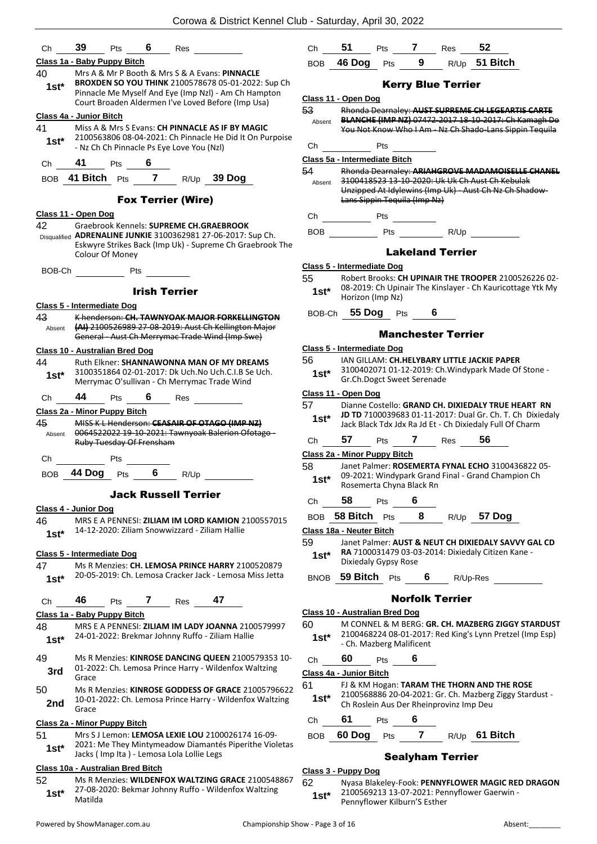| Ch                                | 39                       | Pts        | 6            | Res                                       |                                                                                                                                                 | Ch           | 51                                |                          | Pts 7                                                                        | Res | 52            |                                                                                                        |
|-----------------------------------|--------------------------|------------|--------------|-------------------------------------------|-------------------------------------------------------------------------------------------------------------------------------------------------|--------------|-----------------------------------|--------------------------|------------------------------------------------------------------------------|-----|---------------|--------------------------------------------------------------------------------------------------------|
| Class 1a - Baby Puppy Bitch       |                          |            |              |                                           |                                                                                                                                                 | BOB          | <b>46 Dog</b>                     | Pts                      | $9^{\circ}$                                                                  |     |               | R/Up 51 Bitch                                                                                          |
| 40<br>$1st*$                      |                          |            |              |                                           | Mrs A & Mr P Booth & Mrs S & A Evans: PINNACLE<br>BROXDEN SO YOU THINK 2100578678 05-01-2022: Sup Ch                                            |              |                                   |                          | <b>Kerry Blue Terrier</b>                                                    |     |               |                                                                                                        |
|                                   |                          |            |              |                                           | Pinnacle Me Myself And Eye (Imp NzI) - Am Ch Hampton                                                                                            |              | Class 11 - Open Dog               |                          |                                                                              |     |               |                                                                                                        |
|                                   |                          |            |              |                                           | Court Broaden Aldermen I've Loved Before (Imp Usa)                                                                                              | 53           |                                   |                          |                                                                              |     |               | Rhonda Dearnaley: AUST SUPREME CH LEGEARTIS CARTE                                                      |
| Class 4a - Junior Bitch           |                          |            |              |                                           |                                                                                                                                                 | Absent       |                                   |                          |                                                                              |     |               | BLANCHE (IMP NZ) 07472-2017 18-10-2017: Ch Kamagh Do                                                   |
| 41                                |                          |            |              |                                           | Miss A & Mrs S Evans: CH PINNACLE AS IF BY MAGIC                                                                                                |              |                                   |                          |                                                                              |     |               | You Not Know Who I Am - Nz Ch Shado-Lans Sippin Tequila                                                |
| $1st*$                            |                          |            |              | - Nz Ch Ch Pinnacle Ps Eye Love You (Nzl) | 2100563806 08-04-2021: Ch Pinnacle He Did It On Purpoise                                                                                        | Ch           |                                   | Pts                      |                                                                              |     |               |                                                                                                        |
| Ch                                | 41                       | <b>Pts</b> | 6            |                                           |                                                                                                                                                 |              | Class 5a - Intermediate Bitch     |                          |                                                                              |     |               |                                                                                                        |
|                                   |                          |            |              |                                           | BOB 41 Bitch Pts 7 R/Up 39 Dog                                                                                                                  | 54<br>Absent |                                   |                          |                                                                              |     |               | Rhonda Dearnaley: ARIAHGROVE MADAMOISELLE CHANEL<br>3100418523 13 10 2020: Uk Uk Ch Aust Ch Kebulak    |
|                                   |                          |            |              | <b>Fox Terrier (Wire)</b>                 |                                                                                                                                                 |              |                                   |                          | Lans Sippin Tequila (Imp Nz)                                                 |     |               | Unzipped At Idylewins (Imp Uk) - Aust Ch Nz Ch Shadow-                                                 |
| Class 11 - Open Dog               |                          |            |              |                                           |                                                                                                                                                 |              |                                   |                          |                                                                              |     |               |                                                                                                        |
| 42                                |                          |            |              |                                           | Graebrook Kennels: SUPREME CH.GRAEBROOK                                                                                                         |              | Ch Pts                            |                          |                                                                              |     |               |                                                                                                        |
|                                   |                          |            |              |                                           | Disqualified ADRENALINE JUNKIE 3100362981 27-06-2017: Sup Ch.                                                                                   |              |                                   |                          | BOB Pts R/Up                                                                 |     |               |                                                                                                        |
|                                   | Colour Of Money          |            |              |                                           | Eskwyre Strikes Back (Imp Uk) - Supreme Ch Graebrook The                                                                                        |              |                                   |                          | <b>Lakeland Terrier</b>                                                      |     |               |                                                                                                        |
| BOB-Ch                            |                          |            | Pts          |                                           |                                                                                                                                                 |              | <b>Class 5 - Intermediate Dog</b> |                          |                                                                              |     |               |                                                                                                        |
|                                   |                          |            |              |                                           |                                                                                                                                                 | 55           |                                   |                          |                                                                              |     |               | Robert Brooks: CH UPINAIR THE TROOPER 2100526226 02-                                                   |
|                                   |                          |            |              | <b>Irish Terrier</b>                      |                                                                                                                                                 | $1st^*$      |                                   | Horizon (Imp Nz)         |                                                                              |     |               | 08-2019: Ch Upinair The Kinslayer - Ch Kauricottage Ytk My                                             |
| <b>Class 5 - Intermediate Dog</b> |                          |            |              |                                           |                                                                                                                                                 |              | BOB-Ch 55 Dog Pts                 |                          |                                                                              |     |               |                                                                                                        |
| 43<br>Absent                      |                          |            |              |                                           | K henderson: CH. TAWNYOAK MAJOR FORKELLINGTON<br>(AI) 2100526989 27 08 2019: Aust Ch Kellington Major                                           |              |                                   |                          | <b>Manchester Terrier</b>                                                    |     |               |                                                                                                        |
|                                   |                          |            |              |                                           | General - Aust Ch Merrymac Trade Wind (Imp Swe)                                                                                                 |              |                                   |                          |                                                                              |     |               |                                                                                                        |
| Class 10 - Australian Bred Dog    |                          |            |              |                                           |                                                                                                                                                 |              | Class 5 - Intermediate Dog        |                          |                                                                              |     |               |                                                                                                        |
| 44<br>$1st*$                      |                          |            |              |                                           | Ruth Elkner: SHANNAWONNA MAN OF MY DREAMS<br>3100351864 02-01-2017: Dk Uch.No Uch.C.I.B Se Uch.<br>Merrymac O'sullivan - Ch Merrymac Trade Wind | 56<br>$1st*$ |                                   |                          | IAN GILLAM: CH.HELYBARY LITTLE JACKIE PAPER<br>Gr.Ch.Dogct Sweet Serenade    |     |               | 3100402071 01-12-2019: Ch. Windypark Made Of Stone -                                                   |
|                                   | 44                       |            |              |                                           |                                                                                                                                                 |              | Class 11 - Open Dog               |                          |                                                                              |     |               |                                                                                                        |
| Ch                                |                          | Pts        |              | Res                                       |                                                                                                                                                 | 57           |                                   |                          |                                                                              |     |               | Dianne Costello: GRAND CH. DIXIEDALY TRUE HEART RN                                                     |
| Class 2a - Minor Puppy Bitch      |                          |            |              |                                           |                                                                                                                                                 | $1st*$       |                                   |                          |                                                                              |     |               | JD TD 7100039683 01-11-2017: Dual Gr. Ch. T. Ch Dixiedaly                                              |
| 45                                |                          |            |              |                                           | MISS K L Henderson: CEASAIR OF OTAGO (IMP NZ)<br>0064522022 19-10-2021: Tawnyoak Balerion Ofotago-                                              |              |                                   |                          |                                                                              |     |               | Jack Black Tdx Jdx Ra Jd Et - Ch Dixiedaly Full Of Charm                                               |
| Absent                            | Ruby Tuesday Of Frensham |            |              |                                           |                                                                                                                                                 | Ch           | 57                                |                          | Pts 7 Res                                                                    |     | 56            |                                                                                                        |
|                                   |                          |            |              |                                           |                                                                                                                                                 |              | Class 2a - Minor Puppy Bitch      |                          |                                                                              |     |               |                                                                                                        |
| Ch                                |                          | Pts        |              |                                           |                                                                                                                                                 | 58           |                                   |                          |                                                                              |     |               | Janet Palmer: ROSEMERTA FYNAL ECHO 3100436822 05-                                                      |
|                                   |                          |            |              | BOB 44 Dog Pts 6 R/Up                     |                                                                                                                                                 | $1st^*$      |                                   |                          | Rosemerta Chyna Black Rn                                                     |     |               | 09-2021: Windypark Grand Final - Grand Champion Ch                                                     |
|                                   |                          |            |              | <b>Jack Russell Terrier</b>               |                                                                                                                                                 | Ch           | 58                                | Pts                      | 6                                                                            |     |               |                                                                                                        |
| Class 4 - Junior Dog              |                          |            |              |                                           |                                                                                                                                                 |              |                                   |                          |                                                                              |     |               |                                                                                                        |
| 46                                |                          |            |              |                                           | MRS E A PENNESI: ZILIAM IM LORD KAMION 2100557015                                                                                               |              | BOB 58 Bitch Pts                  |                          | 8                                                                            |     | $R/Up$ 57 Dog |                                                                                                        |
| $1st*$                            |                          |            |              |                                           | 14-12-2020: Ziliam Snowwizzard - Ziliam Hallie                                                                                                  |              | Class 18a - Neuter Bitch          |                          |                                                                              |     |               |                                                                                                        |
|                                   |                          |            |              |                                           |                                                                                                                                                 | 59           |                                   |                          |                                                                              |     |               | Janet Palmer: AUST & NEUT CH DIXIEDALY SAVVY GAL CD                                                    |
| Class 5 - Intermediate Dog        |                          |            |              |                                           |                                                                                                                                                 | $1st*$       |                                   | Dixiedaly Gypsy Rose     |                                                                              |     |               | RA 7100031479 03-03-2014: Dixiedaly Citizen Kane -                                                     |
| 47                                |                          |            |              |                                           | Ms R Menzies: CH. LEMOSA PRINCE HARRY 2100520879<br>20-05-2019: Ch. Lemosa Cracker Jack - Lemosa Miss Jetta                                     |              |                                   |                          |                                                                              |     |               |                                                                                                        |
| $1st*$                            |                          |            |              |                                           |                                                                                                                                                 |              | BNOB 59 Bitch Pts                 |                          | 6                                                                            |     | R/Up-Res      |                                                                                                        |
|                                   |                          |            |              |                                           | 47                                                                                                                                              |              |                                   |                          | <b>Norfolk Terrier</b>                                                       |     |               |                                                                                                        |
| Ch                                | 46                       | Pts        | $\mathbf{7}$ | Res                                       |                                                                                                                                                 |              |                                   |                          |                                                                              |     |               |                                                                                                        |
| Class 1a - Baby Puppy Bitch       |                          |            |              |                                           |                                                                                                                                                 | 60           | Class 10 - Australian Bred Dog    |                          |                                                                              |     |               | M CONNEL & M BERG: GR. CH. MAZBERG ZIGGY STARDUST                                                      |
| 48<br>$1st*$                      |                          |            |              |                                           | MRS E A PENNESI: ZILIAM IM LADY JOANNA 2100579997<br>24-01-2022: Brekmar Johnny Ruffo - Ziliam Hallie                                           | $1st^*$      |                                   | - Ch. Mazberg Malificent |                                                                              |     |               | 2100468224 08-01-2017: Red King's Lynn Pretzel (Imp Esp)                                               |
| 49                                |                          |            |              |                                           | Ms R Menzies: KINROSE DANCING QUEEN 2100579353 10-                                                                                              | Ch           | 60                                | Pts                      | 6                                                                            |     |               |                                                                                                        |
| 3rd                               |                          |            |              |                                           | 01-2022: Ch. Lemosa Prince Harry - Wildenfox Waltzing                                                                                           |              |                                   |                          |                                                                              |     |               |                                                                                                        |
|                                   | Grace                    |            |              |                                           |                                                                                                                                                 | 61           | Class 4a - Junior Bitch           |                          |                                                                              |     |               |                                                                                                        |
| 50<br>2nd                         | Grace                    |            |              |                                           | Ms R Menzies: KINROSE GODDESS OF GRACE 21005796622<br>10-01-2022: Ch. Lemosa Prince Harry - Wildenfox Waltzing                                  | $1st^*$      |                                   |                          | Ch Roslein Aus Der Rheinprovinz Imp Deu                                      |     |               | FJ & KM Hogan: TARAM THE THORN AND THE ROSE<br>2100568886 20-04-2021: Gr. Ch. Mazberg Ziggy Stardust - |
|                                   |                          |            |              |                                           |                                                                                                                                                 | Ch           | 61                                | Pts                      | 6                                                                            |     |               |                                                                                                        |
| Class 2a - Minor Puppy Bitch      |                          |            |              |                                           |                                                                                                                                                 |              |                                   |                          |                                                                              |     |               |                                                                                                        |
| 51<br>$1st*$                      |                          |            |              | Jacks (Imp Ita) - Lemosa Lola Lollie Legs | Mrs S J Lemon: LEMOSA LEXIE LOU 2100026174 16-09-<br>2021: Me They Mintymeadow Diamantés Piperithe Violetas                                     | <b>BOB</b>   | 60 Dog                            |                          | Pts 7                                                                        |     |               | R/Up 61 Bitch                                                                                          |
| Class 10a - Australian Bred Bitch |                          |            |              |                                           |                                                                                                                                                 |              |                                   |                          | <b>Sealyham Terrier</b>                                                      |     |               |                                                                                                        |
| 52                                |                          |            |              |                                           | Ms R Menzies: WILDENFOX WALTZING GRACE 2100548867                                                                                               |              | Class 3 - Puppy Dog               |                          |                                                                              |     |               |                                                                                                        |
| $1st^*$                           | Matilda                  |            |              |                                           | 27-08-2020: Bekmar Johnny Ruffo - Wildenfox Waltzing                                                                                            | 62<br>$1st*$ |                                   |                          | 2100569213 13-07-2021: Pennyflower Gaerwin -<br>Pennyflower Kilburn'S Esther |     |               | Nyasa Blakeley-Fook: PENNYFLOWER MAGIC RED DRAGON                                                      |

Powered by ShowManager.com.au examples and the Championship Show - Page 3 of 16 Absent:

Pennyflower Kilburn'S Esther **1st\***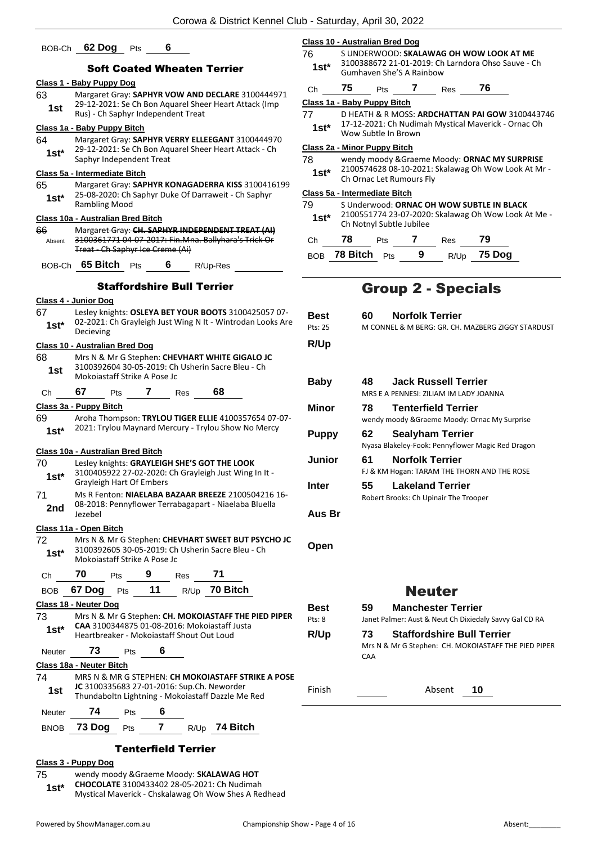| BOB-Ch       | 6<br>62 Dog<br>Pts                                                                                                 |               | <b>Class 10 - Australian Bred Dog</b>                                                                  |
|--------------|--------------------------------------------------------------------------------------------------------------------|---------------|--------------------------------------------------------------------------------------------------------|
|              | <b>Soft Coated Wheaten Terrier</b>                                                                                 | 76<br>$1st*$  | S UNDERWOOD: SKALAWAG OH WOW LOOK AT ME<br>3100388672 21-01-2019: Ch Larndora Ohso Sauve - Ch          |
|              | Class 1 - Baby Puppy Dog                                                                                           |               | Gumhaven She'S A Rainbow                                                                               |
| 63           | Margaret Gray: SAPHYR VOW AND DECLARE 3100444971                                                                   | Ch            | 76<br>75<br>7 Res<br>Pts                                                                               |
| 1st          | 29-12-2021: Se Ch Bon Aquarel Sheer Heart Attack (Imp                                                              |               | Class 1a - Baby Puppy Bitch                                                                            |
|              | Rus) - Ch Saphyr Independent Treat                                                                                 | 77            | D HEATH & R MOSS: ARDCHATTAN PAI GOW 3100443746<br>17-12-2021: Ch Nudimah Mystical Maverick - Ornac Oh |
| 64           | Class 1a - Baby Puppy Bitch<br>Margaret Gray: SAPHYR VERRY ELLEEGANT 3100444970                                    | $1st*$        | Wow Subtle In Brown                                                                                    |
| $1st^*$      | 29-12-2021: Se Ch Bon Aquarel Sheer Heart Attack - Ch                                                              |               | Class 2a - Minor Puppy Bitch                                                                           |
|              | Saphyr Independent Treat                                                                                           | 78            | wendy moody & Graeme Moody: ORNAC MY SURPRISE                                                          |
|              | Class 5a - Intermediate Bitch                                                                                      | $1st*$        | 2100574628 08-10-2021: Skalawag Oh Wow Look At Mr -<br>Ch Ornac Let Rumours Fly                        |
| 65           | Margaret Gray: SAPHYR KONAGADERRA KISS 3100416199<br>25-08-2020: Ch Saphyr Duke Of Darraweit - Ch Saphyr           |               | Class 5a - Intermediate Bitch                                                                          |
| $1st*$       | <b>Rambling Mood</b>                                                                                               | 79            | S Underwood: ORNAC OH WOW SUBTLE IN BLACK                                                              |
|              | Class 10a - Australian Bred Bitch                                                                                  | $1st*$        | 2100551774 23-07-2020: Skalawag Oh Wow Look At Me -                                                    |
| 66           | Margaret Gray: CH. SAPHYR INDEPENDENT TREAT (AI)                                                                   |               | Ch Notnyl Subtle Jubilee                                                                               |
| Absent       | 3100361771 04-07-2017: Fin.Mna. Ballyhara's Trick Or<br><b>Treat</b> Ch Saphyr Ice Creme (Ai)                      | Ch            | 78<br>$\overline{7}$<br>79<br>Pts<br>Res                                                               |
|              |                                                                                                                    |               | 9<br>75 Dog<br>BOB 78 Bitch Pts<br>R/Up                                                                |
|              | BOB-Ch 65 Bitch Pts<br>6<br>R/Up-Res                                                                               |               |                                                                                                        |
|              | <b>Staffordshire Bull Terrier</b>                                                                                  |               | <b>Group 2 - Specials</b>                                                                              |
|              | Class 4 - Junior Dog                                                                                               |               |                                                                                                        |
| 67           | Lesley knights: OSLEYA BET YOUR BOOTS 3100425057 07-<br>02-2021: Ch Grayleigh Just Wing N It - Wintrodan Looks Are | <b>Best</b>   | <b>Norfolk Terrier</b><br>60                                                                           |
| $1st*$       | Decieving                                                                                                          | Pts: 25       | M CONNEL & M BERG: GR. CH. MAZBERG ZIGGY STARDUST                                                      |
|              | Class 10 - Australian Bred Dog                                                                                     | R/Up          |                                                                                                        |
| 68           | Mrs N & Mr G Stephen: CHEVHART WHITE GIGALO JC                                                                     |               |                                                                                                        |
| 1st          | 3100392604 30-05-2019: Ch Usherin Sacre Bleu - Ch                                                                  |               |                                                                                                        |
|              | Mokojastaff Strike A Pose Jc                                                                                       | <b>Baby</b>   | <b>Jack Russell Terrier</b><br>48                                                                      |
| Ch           | 68<br>67<br>$\mathbf{7}$<br>Res<br>Pts                                                                             |               | MRS E A PENNESI: ZILIAM IM LADY JOANNA                                                                 |
|              | Class 3a - Puppy Bitch                                                                                             | Minor         | 78<br><b>Tenterfield Terrier</b>                                                                       |
| 69           | Aroha Thompson: TRYLOU TIGER ELLIE 4100357654 07-07-<br>2021: Trylou Maynard Mercury - Trylou Show No Mercy        |               | wendy moody & Graeme Moody: Ornac My Surprise                                                          |
| $1st*$       |                                                                                                                    | <b>Puppy</b>  | 62<br><b>Sealyham Terrier</b>                                                                          |
|              | Class 10a - Australian Bred Bitch                                                                                  |               | Nyasa Blakeley-Fook: Pennyflower Magic Red Dragon                                                      |
| 70           | Lesley knights: GRAYLEIGH SHE'S GOT THE LOOK                                                                       | <b>Junior</b> | <b>Norfolk Terrier</b><br>61                                                                           |
| $1st*$       | 3100405922 27-02-2020: Ch Grayleigh Just Wing In It -<br>Grayleigh Hart Of Embers                                  |               | FJ & KM Hogan: TARAM THE THORN AND THE ROSE                                                            |
| 71           | Ms R Fenton: NIAELABA BAZAAR BREEZE 2100504216 16-                                                                 | Inter         | <b>Lakeland Terrier</b><br>55                                                                          |
| 2nd          | 08-2018: Pennyflower Terrabagapart - Niaelaba Bluella                                                              |               | Robert Brooks: Ch Upinair The Trooper                                                                  |
|              | Jezebel                                                                                                            | Aus Br        |                                                                                                        |
|              | Class 11a - Open Bitch                                                                                             |               |                                                                                                        |
| 72<br>$1st*$ | Mrs N & Mr G Stephen: CHEVHART SWEET BUT PSYCHO JC<br>3100392605 30-05-2019: Ch Usherin Sacre Bleu - Ch            | Open          |                                                                                                        |
| Ch           | Mokojastaff Strike A Pose Jc<br>70<br>9<br>71<br>Pts<br>Res                                                        |               |                                                                                                        |
| <b>BOB</b>   | 11<br>R/Up 70 Bitch<br>67 Dog<br>Pts                                                                               |               | <b>Neuter</b>                                                                                          |
|              | Class 18 - Neuter Dog                                                                                              |               |                                                                                                        |
| 73           | Mrs N & Mr G Stephen: CH. MOKOIASTAFF THE PIED PIPER                                                               | <b>Best</b>   | 59<br><b>Manchester Terrier</b>                                                                        |
| $1st*$       | CAA 3100344875 01-08-2016: Mokoiastaff Justa                                                                       | Pts: 8        | Janet Palmer: Aust & Neut Ch Dixiedaly Savvy Gal CD RA                                                 |
|              | Heartbreaker - Mokojastaff Shout Out Loud                                                                          | R/Up          | <b>Staffordshire Bull Terrier</b><br>73<br>Mrs N & Mr G Stephen: CH. MOKOIASTAFF THE PIED PIPER        |
| Neuter       | 73<br>6<br>Pts                                                                                                     |               | CAA                                                                                                    |
|              | Class 18a - Neuter Bitch                                                                                           |               |                                                                                                        |
| 74           | MRS N & MR G STEPHEN: CH MOKOIASTAFF STRIKE A POSE<br>JC 3100335683 27-01-2016: Sup.Ch. Neworder                   |               |                                                                                                        |
| 1st          | Thundaboltn Lightning - Mokoiastaff Dazzle Me Red                                                                  | Finish        | Absent<br>10                                                                                           |
| Neuter       | 74<br>6<br>Pts                                                                                                     |               |                                                                                                        |
|              | $\overline{7}$<br>R/Up 74 Bitch                                                                                    |               |                                                                                                        |
| <b>BNOB</b>  | 73 Dog<br>Pts                                                                                                      |               |                                                                                                        |

## Tenterfield Terrier

## **Class 3 - Puppy Dog**

75 wendy moody &Graeme Moody: **SKALAWAG HOT CHOCOLATE** 3100433402 28-05-2021: Ch Nudimah 1st\* CHOCOLATE 3100433402 28-05-2021: Ch Nudimah<br>Mystical Maverick - Chskalawag Oh Wow Shes A Redhead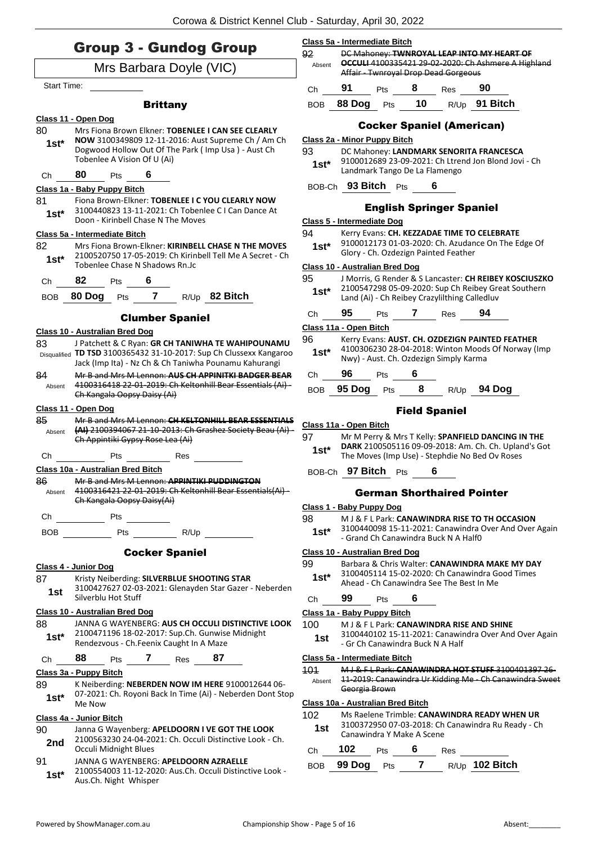## Group 3 - Gundog Group Mrs Barbara Doyle (VIC) Start Time: **Brittany Class 11 - Open Dog** 80 Mrs Fiona Brown Elkner: **TOBENLEE I CAN SEE CLEARLY NOW** 3100349809 12-11-2016: Aust Supreme Ch / Am Ch Dogwood Hollow Out Of The Park ( Imp Usa ) - Aust Ch Tobenlee A Vision Of U (Ai) **1st\*** Ch **80** Pts **6 Class 1a - Baby Puppy Bitch** 81 Fiona Brown-Elkner: **TOBENLEE I C YOU CLEARLY NOW** 3100440823 13-11-2021: Ch Tobenlee C I Can Dance At **1st** 3100440823 13-11-2021: Ch Toben<br>Doon - Kirinbell Chase N The Moves **Class 5a - Intermediate Bitch** 82 Mrs Fiona Brown-Elkner: **KIRINBELL CHASE N THE MOVES** 2100520750 17-05-2019: Ch Kirinbell Tell Me A Secret - Ch Tobenlee Chase N Shadows Rn.Jc **1st\*** Ch **82** Pts **6** BOB **80 Dog** Pts **7** R/Up **82 Bitch** Clumber Spaniel **Class 10 - Australian Bred Dog** 83 J Patchett & C Ryan: **GR CH TANIWHA TE WAHIPOUNAMU**  Disqualified **TD TSD** 3100365432 31-10-2017: Sup Ch Clussexx Kangaroo Jack (Imp Ita) - Nz Ch & Ch Taniwha Pounamu Kahurangi 84 Mr B and Mrs M Lennon: **AUS CH APPINITKI BADGER BEAR** 4100316418 22-01-2019: Ch Keltonhill Bear Essentials (Ai) - Ch Kangala Oopsy Daisy (Ai) Absent **Class 11 - Open Dog** 85 Mr B and Mrs M Lennon: **CH KELTONHILL BEAR ESSENTIALS (AI)** 2100394067 21-10-2013: Ch Grashez Society Beau (Ai) - Ch Appintiki Gypsy Rose Lea (Ai) Absent Ch Pts Res **Class 10a - Australian Bred Bitch** 86 Mr B and Mrs M Lennon: **APPINTIKI PUDDINGTON** 4100316421 22-01-2019: Ch Keltonhill Bear Essentials(Ai) - Ch Kangala Oopsy Daisy(Ai) Absent Ch Pts BOB Pts R/Up Cocker Spaniel **Class 4 - Junior Dog** 87 Kristy Neiberding: **SILVERBLUE SHOOTING STAR** 3100427627 02-03-2021: Glenayden Star Gazer - Neberden **1st 1100427627 02-03**<br>Silverblu Hot Stuff **Class 10 - Australian Bred Dog** 88 JANNA G WAYENBERG: **AUS CH OCCULI DISTINCTIVE LOOK** 2100471196 18-02-2017: Sup.Ch. Gunwise Midnight Rendezvous - Ch.Feenix Caught In A Maze **1st\***

Ch **88** Pts **7** Res **87**

## **Class 3a - Puppy Bitch**

89 K Neiberding: **NEBERDEN NOW IM HERE** 9100012644 06- 07-2021: Ch. Royoni Back In Time (Ai) - Neberden Dont Stop **1st**\*  $\frac{07-2021}{M}$ 

### **Class 4a - Junior Bitch**

| 90<br>2nd | Janna G Wayenberg: APELDOORN I VE GOT THE LOOK<br>2100563230 24-04-2021: Ch. Occuli Distinctive Look - Ch. |
|-----------|------------------------------------------------------------------------------------------------------------|
|           | Occuli Midnight Blues                                                                                      |
| 91        | JANNA G WAYENBERG: APELDOORN AZRAELLE                                                                      |

2100554003 11-12-2020: Aus.Ch. Occuli Distinctive Look - Aus.Ch. Night Whisper **1st\***

#### **Class 5a - Intermediate Bitch**

| Absent | DC Mahoney: TWNROYAL LEAP INTO MY HEART OF<br><b>OCCULI</b> 4100335421 29-02-2020: Ch Ashmere A Highland<br>Affair - Twnroyal Drop Dead Gorgeous |     |    |      |          |  |  |
|--------|--------------------------------------------------------------------------------------------------------------------------------------------------|-----|----|------|----------|--|--|
| Сh     |                                                                                                                                                  | Pts |    | Res  |          |  |  |
| ROR    | 88 Dog                                                                                                                                           | Pts | 10 | R/Up | 91 Bitch |  |  |

## Cocker Spaniel (American)

#### **Class 2a - Minor Puppy Bitch**

93 DC Mahoney: **LANDMARK SENORITA FRANCESCA** 9100012689 23-09-2021: Ch Ltrend Jon Blond Jovi - Ch Landmark Tango De La Flamengo **1st\***

## BOB-Ch **93 Bitch** Pts **6**

### English Springer Spaniel

#### **Class 5 - Intermediate Dog**

- 94 Kerry Evans: **CH. KEZZADAE TIME TO CELEBRATE**
- 9100012173 01-03-2020: Ch. Azudance On The Edge Of Glory - Ch. Ozdezign Painted Feather **1st\***
	-

## **Class 10 - Australian Bred Dog**

- 95 J Morris, G Render & S Lancaster: **CH REIBEY KOSCIUSZKO** 2100547298 05-09-2020: Sup Ch Reibey Great Southern Land (Ai) - Ch Reibey Crazylilthing Calledluv **1st\***
- Ch **95** Pts **7** Res **94**

## **Class 11a - Open Bitch**

- 96 Kerry Evans: **AUST. CH. OZDEZIGN PAINTED FEATHER** 4100306230 28-04-2018: Winton Moods Of Norway (Imp Nwy) - Aust. Ch. Ozdezign Simply Karma **1st\***
- Ch **96** Pts **6**
- BOB **95 Dog** Pts **8** R/Up **94 Dog**

## Field Spaniel

#### **Class 11a - Open Bitch**

- 97 Mr M Perry & Mrs T Kelly: **SPANFIELD DANCING IN THE DARK** 2100505116 09-09-2018: Am. Ch. Ch. Upland's Got **1st\*** DAKK 2100505116 09-09-2018: Am. Cn. Cn. Oplar<br>The Moves (Imp Use) - Stephdie No Bed Ov Roses
- BOB-Ch **97 Bitch** Pts **6**

## German Shorthaired Pointer

#### **Class 1 - Baby Puppy Dog**

- 98 M J & F L Park: **CANAWINDRA RISE TO TH OCCASION**
	- 3100440098 15-11-2021: Canawindra Over And Over Again - Grand Ch Canawindra Buck N A Half0 **1st\***

## **Class 10 - Australian Bred Dog**

- 99 Barbara & Chris Walter: **CANAWINDRA MAKE MY DAY** 3100405114 15-02-2020: Ch Canawindra Good Times
- Ahead Ch Canawindra See The Best In Me **1st\***

## Ch **99** Pts **6**

## **Class 1a - Baby Puppy Bitch**

### 100 M J & F L Park: **CANAWINDRA RISE AND SHINE**

3100440102 15-11-2021: Canawindra Over And Over Again 1st 3100440102 15-11-2021: Canawin<br>Gr Ch Canawindra Buck N A Half

#### **Class 5a - Intermediate Bitch**

101 M J & F L Park: **CANAWINDRA HOT STUFF** 3100401397 26- 11-2019: Canawindra Ur Kidding Me - Ch Canawindra Sweet Georgia Brown Absent

### **Class 10a - Australian Bred Bitch**

- 102 Ms Raelene Trimble: **CANAWINDRA READY WHEN UR**
	- 3100372950 07-03-2018: Ch Canawindra Ru Ready Ch 1st 3100372950 07-03-2018: Ch<br>Canawindra Y Make A Scene

# Ch **102** Pts **6** Res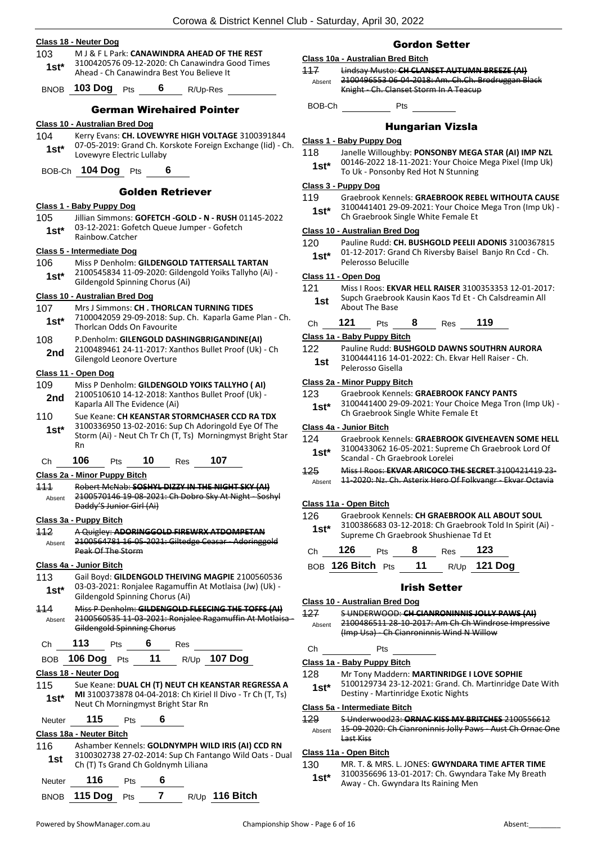|             | TUMA & DISTINCTION ORD                                                                                            |                |
|-------------|-------------------------------------------------------------------------------------------------------------------|----------------|
|             | Class 18 - Neuter Dog                                                                                             |                |
| 103         | M J & F L Park: CANAWINDRA AHEAD OF THE REST                                                                      | <u>c</u>       |
| $1st*$      | 3100420576 09-12-2020: Ch Canawindra Good Times<br>Ahead - Ch Canawindra Best You Believe It                      | $\overline{1}$ |
| <b>BNOB</b> | <b>103 Dog</b><br>6<br>Pts<br>R/Up-Res                                                                            |                |
|             | <b>German Wirehaired Pointer</b>                                                                                  |                |
|             | Class 10 - Australian Bred Dog                                                                                    |                |
| 104         | Kerry Evans: CH. LOVEWYRE HIGH VOLTAGE 3100391844                                                                 | <u>ତ</u>       |
| $1st*$      | 07-05-2019: Grand Ch. Korskote Foreign Exchange (lid) - Ch.<br>Lovewyre Electric Lullaby                          |                |
| BOB-Ch      | 104 Dog Pts<br>6                                                                                                  |                |
|             | <b>Golden Retriever</b>                                                                                           | <u>ୁ</u>       |
|             | Class 1 - Baby Puppy Dog                                                                                          |                |
| 105         | Jillian Simmons: GOFETCH -GOLD - N - RUSH 01145-2022<br>03-12-2021: Gofetch Queue Jumper - Gofetch                |                |
| 1st*        | Rainbow.Catcher                                                                                                   | <u>c</u>       |
|             | Class 5 - Intermediate Dog                                                                                        | 1              |
| 106         | Miss P Denholm: GILDENGOLD TATTERSALL TARTAN                                                                      |                |
| $1st*$      | 2100545834 11-09-2020: Gildengold Yoiks Tallyho (Ai) -                                                            | <u>c</u>       |
|             | Gildengold Spinning Chorus (Ai)                                                                                   | $\overline{1}$ |
|             | Class 10 - Australian Bred Dog                                                                                    |                |
| 107         | Mrs J Simmons: CH. THORLCAN TURNING TIDES<br>7100042059 29-09-2018: Sup. Ch. Kaparla Game Plan - Ch.              |                |
| $1st*$      | Thorlcan Odds On Favourite                                                                                        |                |
| 108         | P.Denholm: GILENGOLD DASHINGBRIGANDINE(AI)                                                                        | <u>c</u>       |
| 2nd         | 2100489461 24-11-2017: Xanthos Bullet Proof (Uk) - Ch<br>Gilengold Leonore Overture                               | $\overline{1}$ |
|             | Class 11 - Open Dog                                                                                               |                |
| 109         | Miss P Denholm: GILDENGOLD YOIKS TALLYHO (AI)                                                                     | <u>c</u>       |
| 2nd         | 2100510610 14-12-2018: Xanthos Bullet Proof (Uk) -<br>Kaparla All The Evidence (Ai)                               | 1              |
| 110         | Sue Keane: CH KEANSTAR STORMCHASER CCD RA TDX                                                                     |                |
| $1st*$      | 3100336950 13-02-2016: Sup Ch Adoringold Eye Of The<br>Storm (Ai) - Neut Ch Tr Ch (T, Ts) Morningmyst Bright Star | <u>c</u>       |
|             | Rn                                                                                                                | $\overline{1}$ |
| Сh          | 106<br>10<br>107<br>Pts<br>Res                                                                                    | $\ddagger$     |
|             | <u> Class 2a - Minor Puppy Bitch</u>                                                                              |                |
| 111         | Robert McNab: SOSHYL DIZZY IN THE NIGHT SKY (AI)<br>2100570146 19 08 2021: Ch Dobro Sky At Night Soshyl           |                |
| Absent      | Daddy'S Junior Girl (Ai)                                                                                          | <u>c</u>       |
|             | Class 3a - Puppy Bitch                                                                                            | 1              |
| 112         | A Quigley: ADORINGGOLD FIREWRX ATDOMPETAN                                                                         |                |
| Absent      | 2100564781 16 05 2021: Giltedge Ceasar Adoringgold<br>Peak Of The Storm                                           |                |
|             | <b>Class 4a - Junior Bitch</b>                                                                                    |                |
| 113         | Gail Boyd: GILDENGOLD THEIVING MAGPIE 2100560536                                                                  |                |
| $1st^*$     | 03-03-2021: Ronjalee Ragamuffin At Motlaisa (Jw) (Uk) -                                                           |                |
|             | Gildengold Spinning Chorus (Ai)                                                                                   | <u>c</u>       |
| 114         | Miss P Denholm: GILDENGOLD FLEECING THE TOFFS (AI)<br>2100560535 11-03-2021: Ronjalee Ragamuffin At Motlaisa      | $\overline{1}$ |
| Absent      | Gildengold Spinning Chorus                                                                                        |                |
| Ch          | 113<br>6<br>Pts<br>Res                                                                                            |                |
| BOB         | R/Up 107 Dog<br>106 Dog $Pts$ 11                                                                                  | <u>c</u>       |
|             | Class 18 - Neuter Dog                                                                                             | $\overline{1}$ |
| 115         | Sue Keane: DUAL CH (T) NEUT CH KEANSTAR REGRESSA A                                                                |                |
| $1st*$      | MI 3100373878 04-04-2018: Ch Kiriel Il Divo - Tr Ch (T, Ts)                                                       |                |
|             | Neut Ch Morningmyst Bright Star Rn                                                                                | <u>c</u>       |
| Neuter      | 115<br>6<br>Pts                                                                                                   | $\overline{1}$ |
|             | Class 18a - Neuter Bitch                                                                                          |                |
| 116         | Ashamber Kennels: GOLDNYMPH WILD IRIS (AI) CCD RN                                                                 | <u>c</u>       |
| 1st         | 3100302738 27-02-2014: Sup Ch Fantango Wild Oats - Dual<br>Ch (T) Ts Grand Ch Goldnymh Liliana                    | $\mathbf{1}$   |

| Neuter | 116              | <b>Pts</b> |  |                  |
|--------|------------------|------------|--|------------------|
|        | BNOB 115 Dog Pts |            |  | $R/Up$ 116 Bitch |

## Gordon Setter

| Class 10a - Australian Bred Bitch |                                                    |  |  |  |  |  |
|-----------------------------------|----------------------------------------------------|--|--|--|--|--|
| 117                               | Lindsay Musto: CH CLANSET AUTUMN BREEZE (AI)       |  |  |  |  |  |
| Absent                            | 2100496553 06-04-2018: Am. Ch.Ch. Brodruggan Black |  |  |  |  |  |
|                                   | Knight - Ch. Clanset Storm In A Teacup             |  |  |  |  |  |

BOB-Ch Pts

## Hungarian Vizsla

#### **Class 1 - Baby Puppy Dog**

18 Janelle Willoughby: **PONSONBY MEGA STAR (AI) IMP NZL** 00146-2022 18-11-2021: Your Choice Mega Pixel (Imp Uk) **1st**\* UU146-2022 18-11-2021: Your Choice<br>To Uk - Ponsonby Red Hot N Stunning

### **Class 3 - Puppy Dog**

- 119 Graebrook Kennels: **GRAEBROOK REBEL WITHOUTA CAUSE**
- 3100441401 29-09-2021: Your Choice Mega Tron (Imp Uk) 1st\* 3100441401 29-09-2021: Your Choice<br>Ch Graebrook Single White Female Et

## **Class 10 - Australian Bred Dog**

120 Pauline Rudd: **CH. BUSHGOLD PEELII ADONIS** 3100367815 01-12-2017: Grand Ch Riversby Baisel Banjo Rn Ccd - Ch. Pelerosso Belucille **1st\***

#### **Class 11 - Open Dog**

121 Miss I Roos: **EKVAR HELL RAISER** 3100353353 12-01-2017: Supch Graebrook Kausin Kaos Td Et - Ch Calsdreamin All **1st** Supch Graebroc

| Ch | 121 | Pts | Res | 119 |
|----|-----|-----|-----|-----|
|    |     |     |     |     |

### **Class 1a - Baby Puppy Bitch**

| 122 | Pauline Rudd: BUSHGOLD DAWNS SOUTHRN AURORA        |
|-----|----------------------------------------------------|
| 1st | 3100444116 14-01-2022: Ch. Ekvar Hell Raiser - Ch. |
|     | Pelerosso Gisella                                  |

#### **Class 2a - Minor Puppy Bitch**

| 123<br>Graebrook Kennels: GRAEBROOK FANCY PANTS |  |
|-------------------------------------------------|--|
|-------------------------------------------------|--|

3100441400 29-09-2021: Your Choice Mega Tron (Imp Uk) - **1st** 3100441400 29-09-2021: Your Choice<br>Ch Graebrook Single White Female Et

#### **Class 4a - Junior Bitch**

- 124 Graebrook Kennels: **GRAEBROOK GIVEHEAVEN SOME HELL** 3100433062 16-05-2021: Supreme Ch Graebrook Lord Of Scandal - Ch Graebrook Lorelei **1st\***
- 125 Miss I Roos: **EKVAR ARICOCO THE SECRET** 3100421419 23- Absent 11-2020: Nz. Ch. Asterix Hero Of Folkvangr - Ekvar Octavia

## **Class 11a - Open Bitch**

- 126 Graebrook Kennels: **CH GRAEBROOK ALL ABOUT SOUL**
- 3100386683 03-12-2018: Ch Graebrook Told In Spirit (Ai) Supreme Ch Graebrook Shushienae Td Et **1st\***

| Ch 126 Pts 8                      |  | $Res$ 123 |  |
|-----------------------------------|--|-----------|--|
| BOB 126 Bitch Pts 11 R/Up 121 Dog |  |           |  |

## Irish Setter

#### **Class 10 - Australian Bred Dog** 127 S UNDERWOOD: **CH CIANRONINNIS JOLLY PAWS (AI)** 2100486511 28-10-2017: Am Ch Ch Windrose Impressive (Imp Usa) - Ch Cianroninnis Wind N Willow Absent

Ch Pts

**Class 1a - Baby Puppy Bitch**

- 128 Mr Tony Maddern: **MARTINRIDGE I LOVE SOPHIE**
- 5100129734 23-12-2021: Grand. Ch. Martinridge Date With **1st**\* 5100129734 23-12-2021: Grand. Cr<br>Destiny - Martinridge Exotic Nights

## **Class 5a - Intermediate Bitch**

129 S Underwood23: **ORNAC KISS MY BRITCHES** 2100556612 15-09-2020: Ch Cianroninnis Jolly Paws - Aust Ch Ornac One Last Kiss Absent

#### **Class 11a - Open Bitch**

130 MR. T. & MRS. L. JONES: **GWYNDARA TIME AFTER TIME** 3100356696 13-01-2017: Ch. Gwyndara Take My Breath 1st\* 3100356696 13-01-2017: Ch. Gwynda<br>Away - Ch. Gwyndara Its Raining Men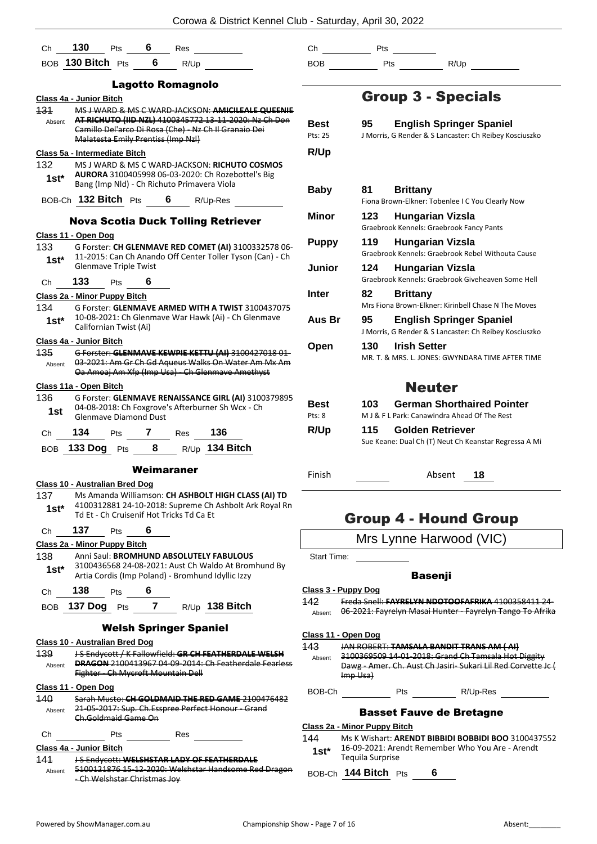| Ch <sub>a</sub> | <b>130</b> Pts 6 Res                  |                                   |                                    |                                             |                                                                                                                                                     |  |
|-----------------|---------------------------------------|-----------------------------------|------------------------------------|---------------------------------------------|-----------------------------------------------------------------------------------------------------------------------------------------------------|--|
|                 |                                       |                                   |                                    | BOB 130 Bitch $Pts$ 6 R/Up                  |                                                                                                                                                     |  |
|                 |                                       |                                   |                                    |                                             |                                                                                                                                                     |  |
|                 |                                       |                                   |                                    | <b>Lagotto Romagnolo</b>                    |                                                                                                                                                     |  |
| 131             | Class 4a - Junior Bitch               |                                   |                                    |                                             | MS J WARD & MS C WARD-JACKSON: AMICILEALE QUEENIE                                                                                                   |  |
| Absent          |                                       |                                   | Malatesta Emily Prentiss (Imp Nzl) |                                             | AT RICHUTO (IID NZL) 4100345772 13-11-2020: Nz Ch Don<br>Camillo Del'arco Di Rosa (Che) - Nz Ch Il Granaio Dei                                      |  |
|                 | Class 5a - Intermediate Bitch         |                                   |                                    |                                             |                                                                                                                                                     |  |
| 1st $^{\star}$  |                                       |                                   |                                    | Bang (Imp Nld) - Ch Richuto Primavera Viola | 132 MS J WARD & MS C WARD-JACKSON: RICHUTO COSMOS<br>AURORA 3100405998 06-03-2020: Ch Rozebottel's Big                                              |  |
|                 |                                       |                                   |                                    |                                             | BOB-Ch 132 Bitch Pts 6 R/Up-Res                                                                                                                     |  |
|                 |                                       |                                   |                                    |                                             | <b>Nova Scotia Duck Tolling Retriever</b>                                                                                                           |  |
|                 | Class 11 - Open Dog                   |                                   |                                    |                                             |                                                                                                                                                     |  |
| $1st^*$         |                                       | <b>Glenmave Triple Twist</b>      |                                    |                                             | 133 G Forster: CH GLENMAVE RED COMET (AI) 3100332578 06-<br>11-2015: Can Ch Anando Off Center Toller Tyson (Can) - Ch                               |  |
|                 | Ch 133 Pts 6                          |                                   |                                    |                                             |                                                                                                                                                     |  |
|                 | Class 2a - Minor Puppy Bitch          |                                   |                                    |                                             |                                                                                                                                                     |  |
| 134 —           |                                       |                                   |                                    |                                             | G Forster: GLENMAVE ARMED WITH A TWIST 3100437075<br>10-08-2021: Ch Glenmave War Hawk (Ai) - Ch Glenmave                                            |  |
| $1st^*$         |                                       | Californian Twist (Ai)            |                                    |                                             |                                                                                                                                                     |  |
|                 | Class 4a - Junior Bitch               |                                   |                                    |                                             |                                                                                                                                                     |  |
| 135             |                                       |                                   |                                    |                                             | G Forster: GLENMAVE KEWPIE KETTU (AI) 3100427018 01-                                                                                                |  |
| Absent          |                                       |                                   |                                    |                                             | 03-2021: Am Gr Ch Gd Aqueus Walks On Water Am Mx Am<br>Oa Amoaj Am Xfp (Imp Usa) - Ch Glenmave Amethyst                                             |  |
|                 | Class 11a - Open Bitch                |                                   |                                    |                                             |                                                                                                                                                     |  |
| 136<br>1st      |                                       |                                   |                                    |                                             | G Forster: GLENMAVE RENAISSANCE GIRL (AI) 3100379895<br>04-08-2018: Ch Foxgrove's Afterburner Sh Wcx - Ch                                           |  |
|                 |                                       |                                   |                                    |                                             |                                                                                                                                                     |  |
|                 |                                       |                                   | <b>Glenmave Diamond Dust</b>       |                                             |                                                                                                                                                     |  |
| Ch              |                                       |                                   |                                    | <b>134</b> Pts <b>7</b> Res                 | 136                                                                                                                                                 |  |
|                 |                                       |                                   |                                    |                                             | BOB 133 Dog Pts 8 R/Up 134 Bitch                                                                                                                    |  |
|                 |                                       |                                   | Weimaraner                         |                                             |                                                                                                                                                     |  |
|                 | <b>Class 10 - Australian Bred Dog</b> |                                   |                                    |                                             |                                                                                                                                                     |  |
| 137<br>$1st^*$  |                                       |                                   |                                    | Td Et - Ch Cruisenif Hot Tricks Td Ca Et    | Ms Amanda Williamson: CH ASHBOLT HIGH CLASS (AI) TD<br>4100312881 24-10-2018: Supreme Ch Ashbolt Ark Royal Rn                                       |  |
| Ch              | -- 137                                | Pts                               | 6                                  |                                             |                                                                                                                                                     |  |
|                 | Class 2a - Minor Puppy Bitch          |                                   |                                    |                                             |                                                                                                                                                     |  |
| 138<br>1st*     |                                       |                                   |                                    |                                             | Anni Saul: BROMHUND ABSOLUTELY FABULOUS<br>3100436568 24-08-2021: Aust Ch Waldo At Bromhund By<br>Artia Cordis (Imp Poland) - Bromhund Idyllic Izzy |  |
| Ch              | 138                                   | Pts 6                             |                                    |                                             |                                                                                                                                                     |  |
| BOB             | 137 Dog Pts                           |                                   |                                    |                                             | 7 R/Up 138 Bitch                                                                                                                                    |  |
|                 |                                       |                                   |                                    |                                             |                                                                                                                                                     |  |
|                 |                                       |                                   |                                    | <b>Welsh Springer Spaniel</b>               |                                                                                                                                                     |  |
| 139<br>Absent   | <b>Class 10 - Australian Bred Dog</b> |                                   |                                    | Fighter - Ch Mycroft Mountain Dell          | J-S Endycott / K Fallowfield: GR CH FEATHERDALE WELSH<br><b>DRAGON 2100413967 04-09-2014: Ch Featherdale Fearless</b>                               |  |
|                 | Class 11 - Open Dog                   |                                   |                                    |                                             |                                                                                                                                                     |  |
| 140<br>Absent   |                                       |                                   |                                    |                                             | Sarah Musto: CH GOLDMAID THE RED GAME 2100476482<br>21-05-2017: Sup. Ch. Esspree Perfect Honour - Grand                                             |  |
| Сh              |                                       | Ch.Goldmaid Game On<br><b>Pts</b> |                                    | Res                                         |                                                                                                                                                     |  |

141 J S Endycott: **WELSHSTAR LADY OF FEATHERDALE** 5100121876 15-12-2020: Welshstar Handsome Red Dragon Absent

- Ch Welshstar Christmas Joy

Ch Pts  $BOB$  Pts  $R/Up$ 

## Group 3 - Specials

| <b>Best</b><br>Pts: 25<br>R/Up     | 95           | <b>English Springer Spaniel</b><br>J Morris, G Render & S Lancaster: Ch Reibey Kosciuszko                                                                      |
|------------------------------------|--------------|----------------------------------------------------------------------------------------------------------------------------------------------------------------|
| Baby                               | 81           | <b>Brittany</b><br>Fiona Brown-Elkner: Tobenlee I C You Clearly Now                                                                                            |
| Minor                              | 123          | <b>Hungarian Vizsla</b><br>Graebrook Kennels: Graebrook Fancy Pants                                                                                            |
| <b>Puppy</b>                       | 119          | <b>Hungarian Vizsla</b><br>Graebrook Kennels: Graebrook Rebel Withouta Cause                                                                                   |
| Junior                             | 124          | Hungarian Vizsla<br>Graebrook Kennels: Graebrook Giveheaven Some Hell                                                                                          |
| Inter                              | 82           | <b>Brittany</b><br>Mrs Fiona Brown-Elkner: Kirinbell Chase N The Moves                                                                                         |
| Aus Br                             | 95           | <b>English Springer Spaniel</b><br>J Morris, G Render & S Lancaster: Ch Reibey Kosciuszko                                                                      |
| Open                               | 130          | <b>Irish Setter</b><br>MR. T. & MRS. L. JONES: GWYNDARA TIME AFTER TIME                                                                                        |
|                                    |              | <b>Neuter</b>                                                                                                                                                  |
| <b>Best</b><br>$P$ †s: $8$<br>R/Up | 103 —<br>115 | <b>German Shorthaired Pointer</b><br>M J & F L Park: Canawindra Ahead Of The Rest<br>Golden Retriever<br>Sue Keane: Dual Ch (T) Neut Ch Keanstar Regressa A Mi |

Finish Absent **18**

## Group 4 - Hound Group

## Mrs Lynne Harwood (VIC)

Start Time: \_\_\_\_\_

## Basenji

## **Class 3 - Puppy Dog**

- 142 Freda Snell: **FAYRELYN NDOTOOFAFRIKA** 4100358411 24-
	- Absent 06-2021: Fayrelyn Masai Hunter Fayrelyn Tango To Afrika

## **Class 11 - Open Dog**

143 JAN ROBERT: **TAMSALA BANDIT TRANS AM ( AI)** Absent 3100369509 14-01-2018: Grand Ch Tamsala Hot Diggity Dawg - Amer. Ch. Aust Ch Jasiri- Sukari Lil Red Corvette Jc ( Imp Usa)

BOB-Ch Pts R/Up-Res

## Basset Fauve de Bretagne

## **Class 2a - Minor Puppy Bitch**

144 Ms K Wishart: **ARENDT BIBBIDI BOBBIDI BOO** 3100437552 16-09-2021: Arendt Remember Who You Are - Arendt **1st**\* 16-09-2021: Are<br>Tequila Surprise

BOB-Ch **144 Bitch** Pts **6**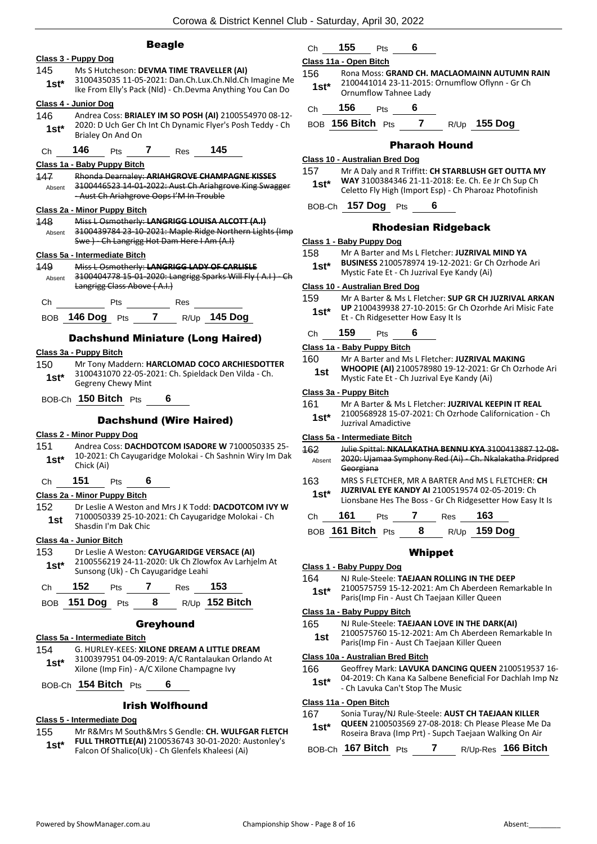## Beagle



## **Class 5a - Intermediate Bitch**

154 G. HURLEY-KEES: **XILONE DREAM A LITTLE DREAM** 3100397951 04-09-2019: A/C Rantalaukan Orlando At **1st** 3100397951 04-09-2019: A/C Rantalaukan C<br>Xilone (Imp Fin) - A/C Xilone Champagne Ivy

BOB-Ch **154 Bitch** Pts **6**

## Irish Wolfhound

### **Class 5 - Intermediate Dog**

- 155 Mr R&Mrs M South&Mrs S Gendle: **CH. WULFGAR FLETCH** 
	- **FULL THROTTLE(AI)** 2100536743 30-01-2020: Austonley's Falcon Of Shalico(Uk) - Ch Glenfels Khaleesi (Ai) **1st\***

## Ch **155** Pts **6**

## **Class 11a - Open Bitch**

- 156 Rona Moss: **GRAND CH. MACLAOMAINN AUTUMN RAIN** 2100441014 23-11-2015: Ornumflow Oflynn - Gr Ch Ornumflow Tahnee Lady **1st\***
- Ch **156** Pts **6**

BOB **156 Bitch** Pts **7** R/Up **155 Dog**

## Pharaoh Hound

#### **Class 10 - Australian Bred Dog**

- 157 Mr A Daly and R Triffitt: **CH STARBLUSH GET OUTTA MY WAY** 3100384346 21-11-2018: Ee. Ch. Ee Jr Ch Sup Ch **1st\* WAY 3100384346 21-11-2018: Ee. Cn. Ee Jr Cn Sup Cn**<br>Celetto Fly High (Import Esp) - Ch Pharoaz Photofinish
- BOB-Ch **157 Dog** Pts **6**

### Rhodesian Ridgeback

#### **Class 1 - Baby Puppy Dog**

- 158 Mr A Barter and Ms L Fletcher: **JUZRIVAL MIND YA** 
	- **BUSINESS** 2100578974 19-12-2021: Gr Ch Ozrhode Ari Mystic Fate Et - Ch Juzrival Eye Kandy (Ai) **1st\***
	-

#### **Class 10 - Australian Bred Dog**

159 Mr A Barter & Ms L Fletcher: **SUP GR CH JUZRIVAL ARKAN UP** 2100439938 27-10-2015: Gr Ch Ozorhde Ari Misic Fate **1st\*** UP 2100439938 27-10-2015: Gr G<br>Et - Ch Ridgesetter How Easy It Is

Ch **159** Pts **6**

#### **Class 1a - Baby Puppy Bitch**

- 160 Mr A Barter and Ms L Fletcher: **JUZRIVAL MAKING WHOOPIE (AI)** 2100578980 19-12-2021: Gr Ch Ozrhode Ari
	- Mystic Fate Et Ch Juzrival Eye Kandy (Ai) **1st**

## **Class 3a - Puppy Bitch**

| 161    | Mr A Barter & Ms L Fletcher: JUZRIVAL KEEPIN IT REAL   |
|--------|--------------------------------------------------------|
| $1st*$ | 2100568928 15-07-2021: Ch Ozrhode Californication - Ch |
|        | Juzrival Amadictive                                    |

#### **Class 5a - Intermediate Bitch**

| 162    | Julie Spittal: NKALAKATHA BENNU KYA 3100413887 12-08-                 |
|--------|-----------------------------------------------------------------------|
| Absent | 2020: Ujamaa Symphony Red (Ai) - Ch. Nkalakatha Pridpred<br>Georgiana |
|        |                                                                       |

- 163 MRS S FLETCHER, MR A BARTER And MS L FLETCHER: **CH**
- **JUZRIVAL EYE KANDY AI** 2100519574 02-05-2019: Ch Lionsbane Hes The Boss - Gr Ch Ridgesetter How Easy It Is **1st\***

| - 0 |   |  | 63                   |
|-----|---|--|----------------------|
|     | . |  | $\sim$ $\sim$ $\sim$ |

BOB **161 Bitch** Pts **8** R/Up **159 Dog**

## Whippet

#### **Class 1 - Baby Puppy Dog**

164 NJ Rule-Steele: **TAEJAAN ROLLING IN THE DEEP**

2100575759 15-12-2021: Am Ch Aberdeen Remarkable In Paris(Imp Fin - Aust Ch Taejaan Killer Queen **1st\***

## **Class 1a - Baby Puppy Bitch**

165 NJ Rule-Steele: **TAEJAAN LOVE IN THE DARK(AI)**

2100575760 15-12-2021: Am Ch Aberdeen Remarkable In Paris(Imp Fin - Aust Ch Taejaan Killer Queen **1st**

## **Class 10a - Australian Bred Bitch**

- 166 Geoffrey Mark: **LAVUKA DANCING QUEEN** 2100519537 16- 04-2019: Ch Kana Ka Salbene Beneficial For Dachlah Imp Nz - Ch Lavuka Can't Stop The Music **1st\***
- **Class 11a - Open Bitch**

## 167 Sonia Turay/NJ Rule-Steele: **AUST CH TAEJAAN KILLER**

**QUEEN** 2100503569 27-08-2018: Ch Please Please Me Da Roseira Brava (Imp Prt) - Supch Taejaan Walking On Air **1st\***

BOB-Ch **167 Bitch** Pts **7** R/Up-Res **166 Bitch**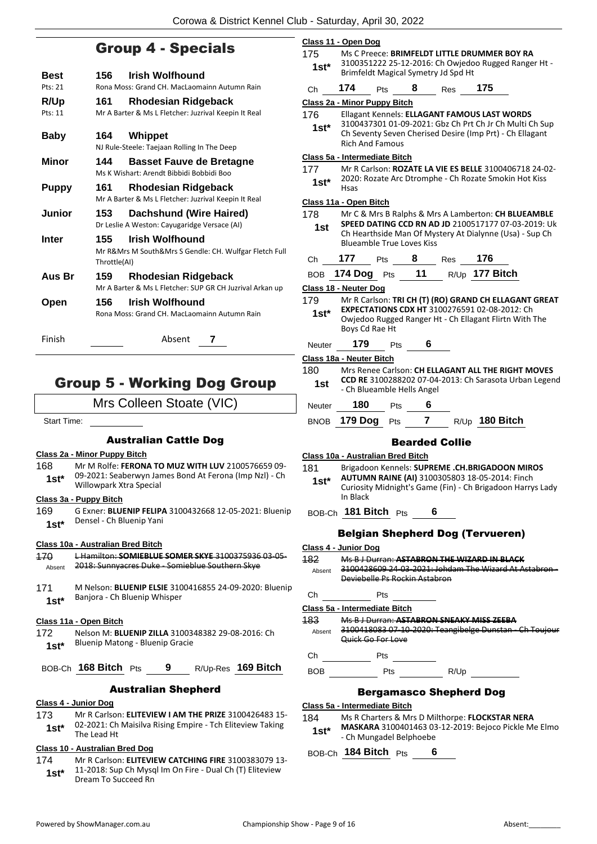## Group 4 - Specials

| Best            | 156                 | <b>Irish Wolfhound</b>                                                             |
|-----------------|---------------------|------------------------------------------------------------------------------------|
| Pts: 21         |                     | Rona Moss: Grand CH. MacLaomainn Autumn Rain                                       |
| R/Up<br>Pts: 11 | 161                 | <b>Rhodesian Ridgeback</b><br>Mr A Barter & Ms L Fletcher: Juzrival Keepin It Real |
| Baby            | 164.                | Whippet<br>NJ Rule-Steele: Taejaan Rolling In The Deep                             |
| Minor           | 144                 | <b>Basset Fauve de Bretagne</b><br>Ms K Wishart: Arendt Bibbidi Bobbidi Boo        |
| Puppy           | 161                 | Rhodesian Ridgeback<br>Mr A Barter & Ms L Fletcher: Juzrival Keepin It Real        |
| Junior          | 153.                | <b>Dachshund (Wire Haired)</b><br>Dr Leslie A Weston: Cayugaridge Versace (AI)     |
| Inter           | 155<br>Throttle(AI) | Irish Wolfhound<br>Mr R&Mrs M South&Mrs S Gendle: CH. Wulfgar Fletch Full          |
| Aus Br          | 159                 | Rhodesian Ridgeback<br>Mr A Barter & Ms L Fletcher: SUP GR CH Juzrival Arkan up    |
| Open            | 156                 | <b>Irish Wolfhound</b><br>Rona Moss: Grand CH, MacLaomainn Autumn Rain             |
| Finish          |                     | Absent<br>7                                                                        |

## Group 5 - Working Dog Group

Mrs Colleen Stoate (VIC)

Start Time:

## Australian Cattle Dog

## **Class 2a - Minor Puppy Bitch**

168 Mr M Rolfe: **FERONA TO MUZ WITH LUV** 2100576659 09- 09-2021: Seaberwyn James Bond At Ferona (Imp Nzl) - Ch Willowpark Xtra Special **1st\***

### **Class 3a - Puppy Bitch**

169 G Exner: **BLUENIP FELIPA** 3100432668 12-05-2021: Bluenip Densel - Ch Bluenip Yani **1st\***

## **Class 10a - Australian Bred Bitch**

| 170     | L Hamilton: <b>SOMIFRILIF SOMFR SKYF</b> 3100375936 03-05- |
|---------|------------------------------------------------------------|
| Absent  | 2018: Sunnyacres Duke - Somieblue Southern Skye            |
| 171     | M Nelson: BLUENIP ELSIE 3100416855 24-09-2020: Bluenip     |
| $1st^*$ | Banjora - Ch Bluenip Whisper                               |
|         | Class 11a - Open Bitch                                     |
| 172     | Nelson M: BLUENIP ZILLA 3100348382 29-08-2016: Ch          |

Bluenip Matong - Bluenip Gracie **1st\***

BOB-Ch **168 Bitch** Pts **9** R/Up-Res **169 Bitch**

## Australian Shepherd

- **Class 4 - Junior Dog**
- 173 Mr R Carlson: **ELITEVIEW I AM THE PRIZE** 3100426483 15- 02-2021: Ch Maisilva Rising Empire - Tch Eliteview Taking **1st**\* 02-2021: Ch<br>The Lead Ht

## **Class 10 - Australian Bred Dog**

174 Mr R Carlson: **ELITEVIEW CATCHING FIRE** 3100383079 13- 11-2018: Sup Ch Mysql Im On Fire - Dual Ch (T) Eliteview **1st\*** 11-2018: Sup Ch Mysq<br>Dream To Succeed Rn

|         | Class 11 - Open Dog                                                                            |
|---------|------------------------------------------------------------------------------------------------|
| 175     | Ms C Preece: BRIMFELDT LITTLE DRUMMER BOY RA                                                   |
| $1st*$  | 3100351222 25-12-2016: Ch Owjedoo Rugged Ranger Ht -<br>Brimfeldt Magical Symetry Jd Spd Ht    |
|         | 174<br>8<br>175                                                                                |
| Сh      | Pts<br>Res                                                                                     |
| 176     | Class 2a - Minor Puppy Bitch<br>Ellagant Kennels: ELLAGANT FAMOUS LAST WORDS                   |
|         | 3100437301 01-09-2021: Gbz Ch Prt Ch Jr Ch Multi Ch Sup                                        |
| 1st*    | Ch Seventy Seven Cherised Desire (Imp Prt) - Ch Ellagant                                       |
|         | <b>Rich And Famous</b>                                                                         |
|         | Class 5a - Intermediate Bitch                                                                  |
| 177     | Mr R Carlson: ROZATE LA VIE ES BELLE 3100406718 24-02-                                         |
| 1st*    | 2020: Rozate Arc Dtromphe - Ch Rozate Smokin Hot Kiss<br>Hsas                                  |
|         | Class 11a - Open Bitch                                                                         |
| 178     | Mr C & Mrs B Ralphs & Mrs A Lamberton: CH BLUEAMBLE                                            |
| 1st     | SPEED DATING CCD RN AD JD 2100517177 07-03-2019: Uk                                            |
|         | Ch Hearthside Man Of Mystery At Dialynne (Usa) - Sup Ch                                        |
|         | <b>Blueamble True Loves Kiss</b>                                                               |
| Сh      | 177<br>8<br>176<br>Res<br>Pts                                                                  |
|         | R/Up 177 Bitch<br>11<br>BOB 174 Dog Pts                                                        |
|         | Class 18 - Neuter Dog                                                                          |
| 179     | Mr R Carlson: TRI CH (T) (RO) GRAND CH ELLAGANT GREAT                                          |
| $1st^*$ | EXPECTATIONS CDX HT 3100276591 02-08-2012: Ch                                                  |
|         | Owjedoo Rugged Ranger Ht - Ch Ellagant Flirtn With The<br>Boys Cd Rae Ht                       |
| Neuter  | 179<br>6<br>Pts                                                                                |
|         | Class 18a - Neuter Bitch                                                                       |
| 180     | Mrs Renee Carlson: CH ELLAGANT ALL THE RIGHT MOVES                                             |
| 1st     | <b>CCD RE 3100288202 07-04-2013: Ch Sarasota Urban Legend</b>                                  |
|         | - Ch Blueamble Hells Angel                                                                     |
| Neuter  | 180<br>6<br>Pts                                                                                |
| BNOB    | R/Up 180 Bitch<br>179 Dog<br>$\overline{\mathbf{r}}$<br>Pts                                    |
|         | <b>Bearded Collie</b>                                                                          |
|         | Class 10a - Australian Bred Bitch                                                              |
| 181     | Brigadoon Kennels: SUPREME .CH.BRIGADOON MIROS                                                 |
| $1st*$  | AUTUMN RAINE (AI) 3100305803 18-05-2014: Finch                                                 |
|         | Curiosity Midnight's Game (Fin) - Ch Brigadoon Harrys Lady                                     |
|         | In Black                                                                                       |
|         | BOB-Ch 181 Bitch Pts 6                                                                         |
|         | <b>Belgian Shepherd Dog (Tervueren)</b>                                                        |
|         | Class 4 - Junior Dog                                                                           |
| 182     | Ms B J Durran: ASTABRON THE WIZARD IN BLACK                                                    |
| Absent  | 3100428609 24-03-2021: Johdam The Wizard At Astabron -                                         |
|         | Deviebelle Ps Rockin Astabron                                                                  |
| Ch      | Pts                                                                                            |
|         | Class 5a - Intermediate Bitch                                                                  |
| 183.    | Ms B J Durran: ASTABRON SNEAKY MISS ZEEBA                                                      |
|         | Absent 3100418083 07-10-2020: Teangibelge Dunstan - Ch Toujour<br><del>Quick Go For Love</del> |
| Ch      |                                                                                                |
|         | Pts<br>BOB Pts R/Up                                                                            |
|         |                                                                                                |
|         | <b>Bergamasco Shepherd Dog</b>                                                                 |
|         | Class 5a - Intermediate Bitch                                                                  |
| 184     | Ms R Charters & Mrs D Milthorpe: FLOCKSTAR NERA                                                |
| $1st^*$ | MASKARA 3100401463 03-12-2019: Bejoco Pickle Me Elmo<br>- Ch Mungadel Belphoebe                |
|         |                                                                                                |

BOB-Ch **184 Bitch** Pts **6**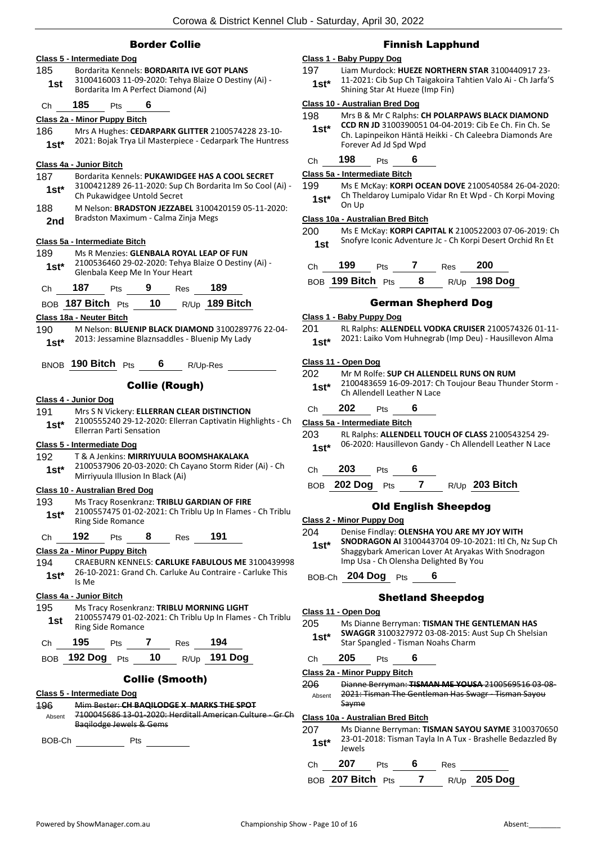## Border Collie

## **Class 5 - Intermediate Dog** 185 Bordarita Kennels: **BORDARITA IVE GOT PLANS** 3100416003 11-09-2020: Tehya Blaize O Destiny (Ai) - **1st** 3100416003 11-09-2020: Tenya Blai<br>Bordarita Im A Perfect Diamond (Ai) Ch **185** Pts **6 Class 2a - Minor Puppy Bitch** 186 Mrs A Hughes: **CEDARPARK GLITTER** 2100574228 23-10- 2021: Bojak Trya Lil Masterpiece - Cedarpark The Huntress **1st\* Class 4a - Junior Bitch** 187 Bordarita Kennels: **PUKAWIDGEE HAS A COOL SECRET** 3100421289 26-11-2020: Sup Ch Bordarita Im So Cool (Ai) - 1st\* 3100421289 26-11-2020: Sup<br>Ch Pukawidgee Untold Secret 188 M Nelson: **BRADSTON JEZZABEL** 3100420159 05-11-2020: Bradston Maximum - Calma Zinja Megs **2nd Class 5a - Intermediate Bitch** 189 Ms R Menzies: **GLENBALA ROYAL LEAP OF FUN** 2100536460 29-02-2020: Tehya Blaize O Destiny (Ai) - Glenbala Keep Me In Your Heart **1st\*** Ch **187** Pts **9** Res **189** BOB **187 Bitch** Pts **10** R/Up **189 Bitch Class 18a - Neuter Bitch** 190 M Nelson: **BLUENIP BLACK DIAMOND** 3100289776 22-04- 2013: Jessamine Blaznsaddles - Bluenip My Lady **1st\*** BNOB **190 Bitch** Pts **6** R/Up-Res Collie (Rough) **Class 4 - Junior Dog** 191 Mrs S N Vickery: **ELLERRAN CLEAR DISTINCTION** 2100555240 29-12-2020: Ellerran Captivatin Highlights - Ch Ellerran Parti Sensation **1st\* Class 5 - Intermediate Dog** 192 T & A Jenkins: **MIRRIYUULA BOOMSHAKALAKA** 2100537906 20-03-2020: Ch Cayano Storm Rider (Ai) - Ch Mirriyuula Illusion In Black (Ai) **1st\* Class 10 - Australian Bred Dog** 193 Ms Tracy Rosenkranz: **TRIBLU GARDIAN OF FIRE** 2100557475 01-02-2021: Ch Triblu Up In Flames - Ch Triblu 1st<sup>\*</sup> 210055747501-02-<br>Ring Side Romance Ch **192** Pts **8** Res **191 Class 2a - Minor Puppy Bitch** 194 CRAEBURN KENNELS: **CARLUKE FABULOUS ME** 3100439998 26-10-2021: Grand Ch. Carluke Au Contraire - Carluke This **1st**<sup>\*</sup>  $\frac{2b-10}{1s \text{ Me}}$ **Class 4a - Junior Bitch** 195 Ms Tracy Rosenkranz: **TRIBLU MORNING LIGHT** 2100557479 01-02-2021: Ch Triblu Up In Flames - Ch Triblu 1st 2100557479 01-02-<br>Ring Side Romance Ch **195** Pts **7** Res **194** BOB **192 Dog** Pts **10** R/Up **191 Dog** Collie (Smooth) **Class 5 - Intermediate Dog** 196 Mim Bester: **CH BAQILODGE X MARKS THE SPOT** 7100045686 13-01-2020: Herditall American Culture - Gr Ch Baqilodge Jewels & Gems Absent BOB-Ch Pts

## Finnish Lapphund

## **Class 1 - Baby Puppy Dog**

197 Liam Murdock: **HUEZE NORTHERN STAR** 3100440917 23- 11-2021: Cib Sup Ch Taigakoira Tahtien Valo Ai - Ch Jarfa'S **1st\*** 11-2021: CID Sup Ch Taigakoira<br>Shining Star At Hueze (Imp Fin)

### **Class 10 - Australian Bred Dog**

198 Mrs B & Mr C Ralphs: **CH POLARPAWS BLACK DIAMOND CCD RN JD** 3100390051 04-04-2019: Cib Ee Ch. Fin Ch. Se Ch. Lapinpeikon Häntä Heikki - Ch Caleebra Diamonds Are Forever Ad Jd Spd Wpd **1st\***

## Ch **198** Pts **6**

## **Class 5a - Intermediate Bitch**

199 Ms E McKay: **KORPI OCEAN DOVE** 2100540584 26-04-2020: Ch Theldaroy Lumipalo Vidar Rn Et Wpd - Ch Korpi Moving On Up **1st\***

### **Class 10a - Australian Bred Bitch**

200 Ms E McKay: **KORPI CAPITAL K** 2100522003 07-06-2019: Ch Snofyre Iconic Adventure Jc - Ch Korpi Desert Orchid Rn Et **1st**

Ch **199** Pts **7** Res **200**

202 Mr M Rolfe: **SUP CH ALLENDELL RUNS ON RUM**

## BOB **199 Bitch** Pts **8** R/Up **198 Dog**

## German Shepherd Dog

#### **Class 1 - Baby Puppy Dog**

201 RL Ralphs: **ALLENDELL VODKA CRUISER** 2100574326 01-11- 2021: Laiko Vom Huhnegrab (Imp Deu) - Hausillevon Alma **1st\***

#### **Class 11 - Open Dog**

| ∸∪∼<br>$1st*$ |                               | 2100483659 16-09-2017: Ch Toujour Beau Thunder Storm -<br>Ch Allendell Leather N Lace |   |                             |                                                              |  |
|---------------|-------------------------------|---------------------------------------------------------------------------------------|---|-----------------------------|--------------------------------------------------------------|--|
| Ch            | 202                           | Pts                                                                                   | 6 |                             |                                                              |  |
|               | Class 5a - Intermediate Bitch |                                                                                       |   |                             |                                                              |  |
| 203           |                               |                                                                                       |   |                             | RL Ralphs: ALLENDELL TOUCH OF CLASS 2100543254 29-           |  |
| $1st^*$       |                               |                                                                                       |   |                             | 06-2020: Hausillevon Gandy - Ch Allendell Leather N Lace     |  |
| Ch            | 203                           | Pts                                                                                   | 6 |                             |                                                              |  |
|               | BOB 202 Dog Pts 7             |                                                                                       |   |                             | R/Up 203 Bitch                                               |  |
|               |                               |                                                                                       |   | <b>Old English Sheepdog</b> |                                                              |  |
|               | Class 2 - Minor Puppy Dog     |                                                                                       |   |                             |                                                              |  |
| 204           |                               |                                                                                       |   |                             | Denise Findlay: OLENSHA YOU ARE MY JOY WITH                  |  |
| $1 - 1$       |                               |                                                                                       |   |                             | <b>SNODRAGON AI 3100443704 09-10-2021: Itl Ch, Nz Sup Ch</b> |  |

**SNODRAGON AI** 3100443704 09-10-2021: Itl Ch, Nz Sup Ch Shaggybark American Lover At Aryakas With Snodragon Imp Usa - Ch Olensha Delighted By You **1st\***

## BOB-Ch **204 Dog** Pts **6**

## Shetland Sheepdog

## **Class 11 - Open Dog**

205 Ms Dianne Berryman: **TISMAN THE GENTLEMAN HAS SWAGGR** 3100327972 03-08-2015: Aust Sup Ch Shelsian **1st\*** SWAGGR 3100327972 03-08-2015: A<br>Star Spangled - Tisman Noahs Charm

## Ch **205** Pts **6**

**Class 2a - Minor Puppy Bitch**

206 Dianne Berryman: **TISMAN ME YOUSA** 2100569516 03-08- 2021: Tisman The Gentleman Has Swagr - Tisman Sayou Sayme Absent

## **Class 10a - Australian Bred Bitch**

207 Ms Dianne Berryman: **TISMAN SAYOU SAYME** 3100370650 23-01-2018: Tisman Tayla In A Tux - Brashelle Bedazzled By Jewels **1st\***

## Ch **207** Pts **6** Res

BOB **207 Bitch** Pts **7** R/Up **205 Dog**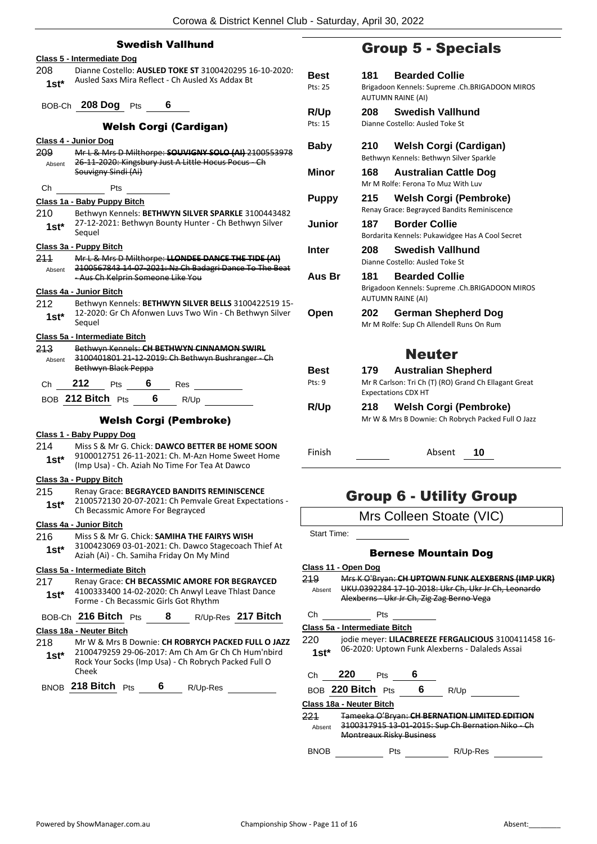|         | 2010wa u District INSHITSI OKU                                                                                       | - 020         |
|---------|----------------------------------------------------------------------------------------------------------------------|---------------|
|         | <b>Swedish Vallhund</b>                                                                                              |               |
|         | Class 5 - Intermediate Dog                                                                                           |               |
| 208     | Dianne Costello: AUSLED TOKE ST 3100420295 16-10-2020:                                                               | Best          |
| $1st*$  | Ausled Saxs Mira Reflect - Ch Ausled Xs Addax Bt                                                                     | Pts: 25       |
|         | BOB-Ch 208 Dog Pts 6                                                                                                 | R/Up          |
|         | <b>Welsh Corgi (Cardigan)</b>                                                                                        | Pts: 15       |
|         | Class 4 - Junior Dog                                                                                                 | <b>Baby</b>   |
| 209.    | Mr L & Mrs D Milthorpe: SOUVIGNY SOLO (AI) 2100553978<br>Absent 26-11-2020: Kingsbury Just A Little Hocus Pocus - Ch |               |
|         | Souvigny Sindi (Ai)                                                                                                  | Mino          |
| Ch      | Pts                                                                                                                  | <b>Pupp</b>   |
|         | Class 1a - Baby Puppy Bitch                                                                                          |               |
|         | 210 Bethwyn Kennels: BETHWYN SILVER SPARKLE 3100443482<br>27-12-2021: Bethwyn Bounty Hunter - Ch Bethwyn Silver      | Junic         |
| $1st^*$ | Sequel                                                                                                               |               |
|         | Class 3a - Puppy Bitch                                                                                               | Inter         |
| 211     | Mr L & Mrs D Milthorpe: LLONDEE DANCE THE TIDE (AI)                                                                  |               |
| Absent  | 2100567843 14-07-2021: Nz Ch Badagri Dance To The Beat<br>-Aus Ch Kelprin Someone Like You                           | Aus I         |
|         | Class 4a - Junior Bitch                                                                                              |               |
| 212     | Bethwyn Kennels: BETHWYN SILVER BELLS 3100422519 15-<br>12-2020: Gr Ch Afonwen Luvs Two Win - Ch Bethwyn Silver      |               |
| $1st*$  | Sequel                                                                                                               | Open          |
|         | Class 5a - Intermediate Bitch                                                                                        |               |
| 213.    | Bethwyn Kennels: CH BETHWYN CINNAMON SWIRL                                                                           |               |
| Absent  | 3100401801 21-12-2019: Ch Bethwyn Bushranger - Ch<br><b>Bethwyn Black Peppa</b>                                      | Best          |
|         | Ch 212 Pts 6 Res                                                                                                     | Pts: 9        |
|         | BOB 212 Bitch Pts 6 R/Up                                                                                             |               |
|         | <b>Welsh Corgi (Pembroke)</b>                                                                                        | R/Up          |
|         | Class 1 - Baby Puppy Dog                                                                                             |               |
| 214     | Miss S & Mr G. Chick: DAWCO BETTER BE HOME SOON                                                                      |               |
| 1st*    | 9100012751 26-11-2021: Ch. M-Azn Home Sweet Home                                                                     | Finish        |
|         | (Imp Usa) - Ch. Aziah No Time For Tea At Dawco                                                                       |               |
|         | Class 3a - Puppy Bitch                                                                                               |               |
| 215     | Renay Grace: BEGRAYCED BANDITS REMINISCENCE<br>2100572130 20-07-2021: Ch Pemvale Great Expectations -                |               |
| $1st*$  | Ch Becassmic Amore For Begrayced                                                                                     |               |
|         | Class 4a - Junior Bitch                                                                                              |               |
| 216     | Miss S & Mr G. Chick: SAMIHA THE FAIRYS WISH                                                                         | Start 1       |
| 1st*    | 3100423069 03-01-2021: Ch. Dawco Stagecoach Thief At<br>Aziah (Ai) - Ch. Samiha Friday On My Mind                    |               |
|         | Class 5a - Intermediate Bitch                                                                                        | Class 1       |
| 217     | Renay Grace: CH BECASSMIC AMORE FOR BEGRAYCED                                                                        | 219<br>Absent |
| 1st*    | 4100333400 14-02-2020: Ch Anwyl Leave Thlast Dance<br>Forme - Ch Becassmic Girls Got Rhythm                          |               |
|         | BOB-Ch 216 Bitch Pts<br>8<br>R/Up-Res 217 Bitch                                                                      | Сh            |
|         | Class 18a - Neuter Bitch                                                                                             | Class 5       |
| 218     | Mr W & Mrs B Downie: CH ROBRYCH PACKED FULL O JAZZ                                                                   | 220           |
| $1st^*$ | 2100479259 29-06-2017: Am Ch Am Gr Ch Ch Hum'nbird<br>Rock Your Socks (Imp Usa) - Ch Robrych Packed Full O           | 1st*          |
|         | Cheek                                                                                                                | Сh            |

## BNOB **218 Bitch** Pts **6** R/Up-Res

## Group 5 - Specials

| <b>Best</b>  | 181   | <b>Bearded Collie</b>                                                                               |
|--------------|-------|-----------------------------------------------------------------------------------------------------|
| Pts: 25      |       | Brigadoon Kennels: Supreme .Ch.BRIGADOON MIROS<br><b>AUTUMN RAINE (AI)</b>                          |
| R/Up         | 208   | <b>Swedish Vallhund</b>                                                                             |
| Pts: 15      |       | Dianne Costello: Ausled Toke St                                                                     |
| Baby         | 210   | <b>Welsh Corgi (Cardigan)</b><br>Bethwyn Kennels: Bethwyn Silver Sparkle                            |
| <b>Minor</b> | 168 - | <b>Australian Cattle Dog</b><br>Mr M Rolfe: Ferona To Muz With Luv                                  |
| <b>Puppy</b> | 215   | Welsh Corgi (Pembroke)<br>Renay Grace: Begrayced Bandits Reminiscence                               |
| Junior       | 187   | <b>Border Collie</b><br>Bordarita Kennels: Pukawidgee Has A Cool Secret                             |
| Inter        | 208   | <b>Swedish Vallhund</b><br>Dianne Costello: Ausled Toke St                                          |
| Aus Br       | 181   | <b>Bearded Collie</b><br>Brigadoon Kennels: Supreme .Ch.BRIGADOON MIROS<br><b>AUTUMN RAINE (AI)</b> |
| Open         | 202   | <b>German Shepherd Dog</b><br>Mr M Rolfe: Sup Ch Allendell Runs On Rum                              |
|              |       | <b>Neuter</b>                                                                                       |
| <b>Best</b>  | 179   | <b>Australian Shepherd</b>                                                                          |
| Pts: 9       |       | Mr R Carlson: Tri Ch (T) (RO) Grand Ch Ellagant Great<br><b>Expectations CDX HT</b>                 |
| R/Up         | 218   | <b>Welsh Corgi (Pembroke)</b><br>Mr W & Mrs B Downie: Ch Robrych Packed Full O Jazz                 |

- 
- Absent **10**

## Group 6 - Utility Group

| Mrs Colleen Stoate (VIC) |  |
|--------------------------|--|
|--------------------------|--|

Time:

## Bernese Mountain Dog

**Class 11 - Open Dog**

219 Mrs K O'Bryan: **CH UPTOWN FUNK ALEXBERNS (IMP UKR)** UKU.0392284 17-10-2018: Ukr Ch, Ukr Jr Ch, Leonardo Alexberns Ukr Jr Ch, Zig Zag Berno Vega

## Pts

**Class 5a - Intermediate Bitch**

jodie meyer: LILACBREEZE FERGALICIOUS 3100411458 16-06-2020: Uptown Funk Alexberns - Dalaleds Assai

| Ch | 220               | <b>Pts</b> |   |      |
|----|-------------------|------------|---|------|
|    | BOB 220 Bitch Pts |            | 6 | R/Up |

## **Class 18a - Neuter Bitch**

221 Tameeka O'Bryan: **CH BERNATION LIMITED EDITION** 3100317915 13 01 2015: Sup Ch Bernation Niko Ch Montreaux Risky Business Absent

BNOB Pts N/Up-Res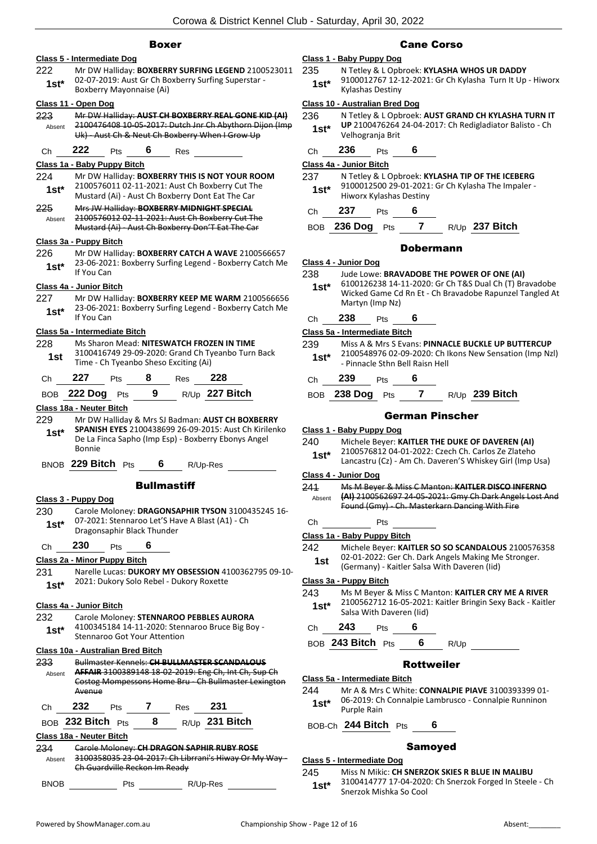### Boxer

## **Class 5 - Intermediate Dog**

222 Mr DW Halliday: **BOXBERRY SURFING LEGEND** 2100523011 02-07-2019: Aust Gr Ch Boxberry Surfing Superstar - **1st**\* UZ-UT-ZULE: AUST GP Ch BC<br>Boxberry Mayonnaise (Ai)

#### **Class 11 - Open Dog**

223 Mr DW Halliday: **AUST CH BOXBERRY REAL GONE KID (AI)** 2100476408 10-05-2017: Dutch Jnr Ch Abythorn Dijon (Imp Uk) - Aust Ch & Neut Ch Boxberry When I Grow Up Absent

Ch **222** Pts **6** Res

### **Class 1a - Baby Puppy Bitch**

- 224 Mr DW Halliday: **BOXBERRY THIS IS NOT YOUR ROOM** 2100576011 02-11-2021: Aust Ch Boxberry Cut The Mustard (Ai) - Aust Ch Boxberry Dont Eat The Car **1st\***
- 225 Mrs JW Halliday: **BOXBERRY MIDNIGHT SPECIAL** 2100576012 02-11-2021: Aust Ch Boxberry Cut The Mustard (Ai) - Aust Ch Boxberry Don'T Eat The Car Absent

#### **Class 3a - Puppy Bitch**

226 Mr DW Halliday: **BOXBERRY CATCH A WAVE** 2100566657 23-06-2021: Boxberry Surfing Legend - Boxberry Catch Me **1st**\* <sup>23-06-202</sup>

#### **Class 4a - Junior Bitch**

227 Mr DW Halliday: **BOXBERRY KEEP ME WARM** 2100566656 23-06-2021: Boxberry Surfing Legend - Boxberry Catch Me **1st**\* <sup>23-06-202</sup>

#### **Class 5a - Intermediate Bitch**

228 Ms Sharon Mead: **NITESWATCH FROZEN IN TIME** 3100416749 29-09-2020: Grand Ch Tyeanbo Turn Back 1st 3100416749 29-09-2020: Grand Ch Ty<br>Time - Ch Tyeanbo Sheso Exciting (Ai)

|       |  | '28 |
|-------|--|-----|
| - - - |  |     |

| <b>BOB 222 Dog</b> Pts |  | R/Up 227 Bitch |
|------------------------|--|----------------|
|                        |  |                |

#### **Class 18a - Neuter Bitch**

- 229 Mr DW Halliday & Mrs SJ Badman: **AUST CH BOXBERRY**
- **SPANISH EYES** 2100438699 26-09-2015: Aust Ch Kirilenko De La Finca Sapho (Imp Esp) - Boxberry Ebonys Angel Bonnie **1st\***

BNOB **229 Bitch** Pts **6** R/Up-Res

#### **Bullmastiff**

## **Class 3 - Puppy Dog**

230 Carole Moloney: **DRAGONSAPHIR TYSON** 3100435245 16- 07-2021: Stennaroo Let'S Have A Blast (A1) - Ch 1st\* U/-2021: Stenharoo Let S Ha<br>Dragonsaphir Black Thunder

## Ch **230** Pts **6**

## **Class 2a - Minor Puppy Bitch**

231 Narelle Lucas: **DUKORY MY OBSESSION** 4100362795 09-10- 2021: Dukory Solo Rebel - Dukory Roxette **1st\***

#### **Class 4a - Junior Bitch**

232 Carole Moloney: **STENNAROO PEBBLES AURORA** 4100345184 14-11-2020: Stennaroo Bruce Big Boy - **1st\*** 4100345184 14-11-2020: Stennaroo Got Your Attention

## **Class 10a - Australian Bred Bitch**

- 233 Bullmaster Kennels: **CH BULLMASTER SCANDALOUS AFFAIR** 3100389148 18-02-2019: Eng Ch, Int Ch, Sup Ch Costog Mompessons Home Bru - Ch Bullmaster Lexington Avenue Absent
- Ch **232** Pts **7** Res **231**
- BOB **232 Bitch** Pts **8** R/Up **231 Bitch**

## **Class 18a - Neuter Bitch**

- 234 Carole Moloney: **CH DRAGON SAPHIR RUBY ROSE** 3100358035 23-04-2017: Ch Librrani's Hiway Or My Way - Ch Guardville Reckon Im Ready Absent
- BNOB Pts R/Up-Res

## Cane Corso

## **Class 1 - Baby Puppy Dog**

235 N Tetley & L Opbroek: **KYLASHA WHOS UR DADDY** 9100012767 12-12-2021: Gr Ch Kylasha Turn It Up - Hiworx **1st**\* 9100012767 12-<br>Kylashas Destiny

#### **Class 10 - Australian Bred Dog**

- 236 N Tetley & L Opbroek: **AUST GRAND CH KYLASHA TURN IT UP** 2100476264 24-04-2017: Ch Redigladiator Balisto - Ch Velhogranja Brit **1st\***
- Ch **236** Pts **6**

## **Class 4a - Junior Bitch**

- 237 N Tetley & L Opbroek: **KYLASHA TIP OF THE ICEBERG** 9100012500 29-01-2021: Gr Ch Kylasha The Impaler - Hiworx Kylashas Destiny **1st\***
- Ch **237** Pts **6**
- BOB **236 Dog** Pts **7** R/Up **237 Bitch**

#### Dobermann

#### **Class 4 - Junior Dog**

#### 238 Jude Lowe: **BRAVADOBE THE POWER OF ONE (AI)**

- 6100126238 14-11-2020: Gr Ch T&S Dual Ch (T) Bravadobe Wicked Game Cd Rn Et - Ch Bravadobe Rapunzel Tangled At Martyn (Imp Nz) **1st\***
- Ch **238** Pts **6**

**Class 5a - Intermediate Bitch**

- 239 Miss A & Mrs S Evans: **PINNACLE BUCKLE UP BUTTERCUP** 2100548976 02-09-2020: Ch Ikons New Sensation (Imp Nzl) - Pinnacle Sthn Bell Raisn Hell **1st\***
- Ch **239** Pts **6**
- BOB **238 Dog** Pts **7** R/Up **239 Bitch**

### German Pinscher

#### **Class 1 - Baby Puppy Dog**

- 240 Michele Beyer: **KAITLER THE DUKE OF DAVEREN (AI)**
- 2100576812 04-01-2022: Czech Ch. Carlos Ze Zlateho
- Lancastru (Cz) Am Ch. Daveren'S Whiskey Girl (Imp Usa) **1st\***

## **Class 4 - Junior Dog**

- 241 Ms M Beyer & Miss C Manton: **KAITLER DISCO INFERNO (AI)** 2100562697 24-05-2021: Gmy Ch Dark Angels Lost And Found (Gmy) - Ch. Masterkarn Dancing With Fire Absent
- Ch Pts

#### **Class 1a - Baby Puppy Bitch**

- 242 Michele Beyer: **KAITLER SO SO SCANDALOUS** 2100576358
	- 02-01-2022: Ger Ch. Dark Angels Making Me Stronger. (Germany) - Kaitler Salsa With Daveren (Iid) **1st**
	-

**Class 3a - Puppy Bitch**

- 243 Ms M Beyer & Miss C Manton: **KAITLER CRY ME A RIVER** 2100562712 16-05-2021: Kaitler Bringin Sexy Back - Kaitler
	- Salsa With Daveren (Iid) **1st\***

## Ch **243** Pts **6**

BOB **243 Bitch** Pts **6** R/Up

## Rottweiler

- **Class 5a - Intermediate Bitch**
- 244 Mr A & Mrs C White: **CONNALPIE PIAVE** 3100393399 01- 06-2019: Ch Connalpie Lambrusco - Connalpie Runninon **1st**\* Ub-2019: Cr

BOB-Ch **244 Bitch** Pts **6**

## Samoyed

## **Class 5 - Intermediate Dog**

245 Miss N Mikic: **CH SNERZOK SKIES R BLUE IN MALIBU** 3100414777 17-04-2020: Ch Snerzok Forged In Steele - Ch Snerzok Mishka So Cool **1st\***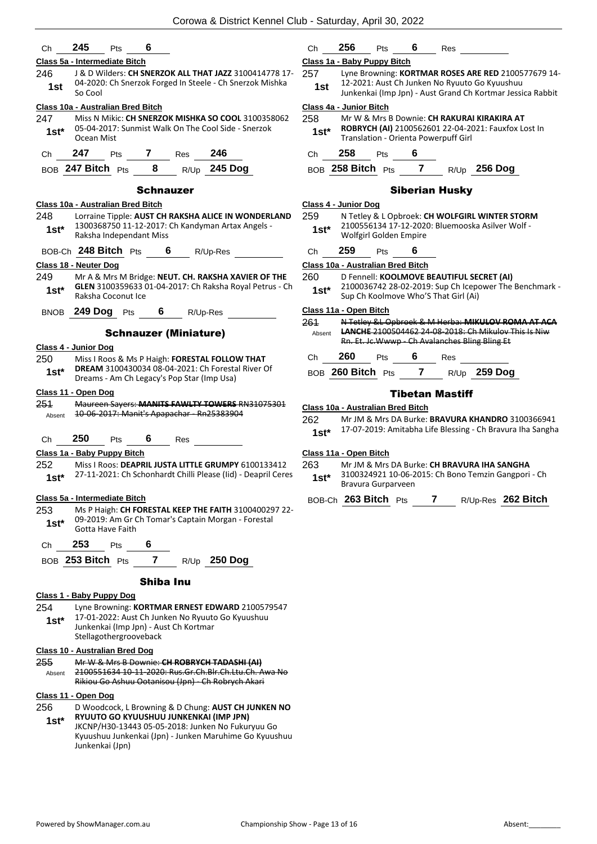| ∴n | , A C<br>43 | אי− |  |
|----|-------------|-----|--|
|    |             |     |  |

## **Class 5a - Intermediate Bitch**

246 J & D Wilders: **CH SNERZOK ALL THAT JAZZ** 3100414778 17- 04-2020: Ch Snerzok Forged In Steele - Ch Snerzok Mishka  $1$ st  $\frac{04-2020}{50}$ 

## **Class 10a - Australian Bred Bitch**

247 Miss N Mikic: **CH SNERZOK MISHKA SO COOL** 3100358062 05-04-2017: Sunmist Walk On The Cool Side - Snerzok **1st**\* 05-04-2017<br>Ocean Mist

BOB **247 Bitch** Pts **8** R/Up **245 Dog**

## Schnauzer

#### **Class 10a - Australian Bred Bitch**

248 Lorraine Tipple: **AUST CH RAKSHA ALICE IN WONDERLAND** 1300368750 11-12-2017: Ch Kandyman Artax Angels - Raksha Independant Miss **1st\***

BOB-Ch **248 Bitch** Pts **6** R/Up-Res

#### **Class 18 - Neuter Dog**

- 249 Mr A & Mrs M Bridge: **NEUT. CH. RAKSHA XAVIER OF THE GLEN** 3100359633 01-04-2017: Ch Raksha Royal Petrus - Ch 1st\* **GLEN** 3100359633
- BNOB **249 Dog** Pts **6** R/Up-Res

### Schnauzer (Miniature)

### **Class 4 - Junior Dog**

250 Miss I Roos & Ms P Haigh: **FORESTAL FOLLOW THAT DREAM** 3100430034 08-04-2021: Ch Forestal River Of **1st\* DREAM** 3100430034 08-04-2021: Ch Foresta<br>Dreams - Am Ch Legacy's Pop Star (Imp Usa)

#### **Class 11 - Open Dog**

251 Maureen Sayers: **MANITS FAWLTY TOWERS** RN31075301 Absent 10-06-2017: Manit's Apapachar - Rn25383904

Ch **250** Pts **6** Res

## **Class 1a - Baby Puppy Bitch**

- 252 Miss I Roos: **DEAPRIL JUSTA LITTLE GRUMPY** 6100133412 27-11-2021: Ch Schonhardt Chilli Please (Iid) - Deapril Ceres **1st\***
- **Class 5a - Intermediate Bitch**
- 253 Ms P Haigh: **CH FORESTAL KEEP THE FAITH** 3100400297 22- 09-2019: Am Gr Ch Tomar's Captain Morgan - Forestal 1st<sup>\*</sup> U<sup>9-2019</sup>: Am Gr Gotta Have Faith
- Ch **253** Pts **6**
- BOB **253 Bitch** Pts **7** R/Up **250 Dog**

#### Shiba Inu

## **Class 1 - Baby Puppy Dog**

254 Lyne Browning: **KORTMAR ERNEST EDWARD** 2100579547 17-01-2022: Aust Ch Junken No Ryuuto Go Kyuushuu Junkenkai (Imp Jpn) - Aust Ch Kortmar Stellagothergrooveback **1st\***

#### **Class 10 - Australian Bred Dog**

255 Mr W & Mrs B Downie: **CH ROBRYCH TADASHI (AI)** 2100551634 10-11-2020: Rus.Gr.Ch.Blr.Ch.Ltu.Ch. Awa No Rikiou Go Ashuu Ootanisou (Jpn) - Ch Robrych Akari Absent

#### **Class 11 - Open Dog**

- 256 D Woodcock, L Browning & D Chung: **AUST CH JUNKEN NO RYUUTO GO KYUUSHUU JUNKENKAI (IMP JPN)** JKCNP/H30-13443 05-05-2018: Junken No Fukuryuu Go **1st\***
	- Kyuushuu Junkenkai (Jpn) Junken Maruhime Go Kyuushuu Junkenkai (Jpn)

| :'n | эb |  | kes |
|-----|----|--|-----|
|     |    |  |     |

## **Class 1a - Baby Puppy Bitch**

- 257 Lyne Browning: **KORTMAR ROSES ARE RED** 2100577679 14- 12-2021: Aust Ch Junken No Ryuuto Go Kyuushuu
	- Junkenkai (Imp Jpn) Aust Grand Ch Kortmar Jessica Rabbit **1st**

## **Class 4a - Junior Bitch**

- 258 Mr W & Mrs B Downie: **CH RAKURAI KIRAKIRA AT ROBRYCH (AI)** 2100562601 22-04-2021: Fauxfox Lost In Translation - Orienta Powerpuff Girl **1st\***
- Ch **258** Pts **6**
- BOB **258 Bitch** Pts **7** R/Up **256 Dog**

## Siberian Husky

## **Class 4 - Junior Dog**

- 259 N Tetley & L Opbroek: **CH WOLFGIRL WINTER STORM** 2100556134 17-12-2020: Bluemooska Asilver Wolf - Wolfgirl Golden Empire **1st\***
- 

## Ch **259** Pts **6**

## **Class 10a - Australian Bred Bitch**

- 260 D Fennell: **KOOLMOVE BEAUTIFUL SECRET (AI)**
- 2100036742 28-02-2019: Sup Ch Icepower The Benchmark **1st** 2100036742 28-02-2019: Sup Ch Icependent Cap Ch Koolmove Who'S That Girl (Ai)

## **Class 11a - Open Bitch**

| 261<br>Absent |     |                                           |     | N Tetley &L Opbroek & M Herba: MIKULOV ROMA AT ACA<br><b>LANCHE 2100504462 24-08-2018: Ch Mikulov This Is Niw</b> |
|---------------|-----|-------------------------------------------|-----|-------------------------------------------------------------------------------------------------------------------|
|               |     |                                           |     | Rn. Et. Jc. Wwwp - Ch Avalanches Bling Bling Et                                                                   |
| C.h           | 260 | <b>Pts</b>                                | Res |                                                                                                                   |
|               |     | $\sim$ $\sim$ $\sim$ $\sim$ $\sim$ $\sim$ |     | $\mathbf{a}$ $\mathbf{b}$ $\mathbf{c}$                                                                            |

BOB **260 Bitch** Pts **7** R/Up **259 Dog**

## Tibetan Mastiff

#### **Class 10a - Australian Bred Bitch**

262 Mr JM & Mrs DA Burke: **BRAVURA KHANDRO** 3100366941

17-07-2019: Amitabha Life Blessing - Ch Bravura Iha Sangha **1st\***

## **Class 11a - Open Bitch**

- 263 Mr JM & Mrs DA Burke: **CH BRAVURA IHA SANGHA**
- 3100324921 10-06-2015: Ch Bono Temzin Gangpori Ch Bravura Gurparveen **1st\***

BOB-Ch **263 Bitch** Pts **7** R/Up-Res **262 Bitch**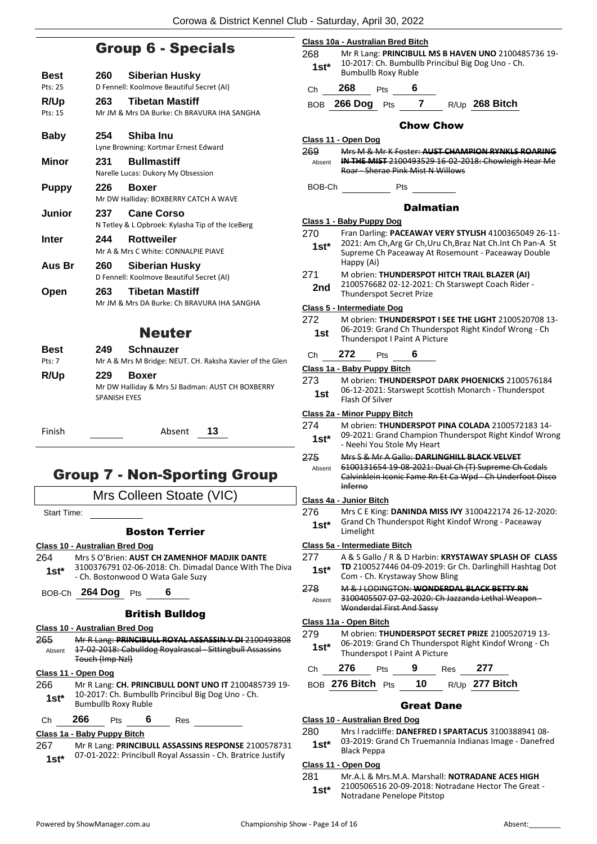## Group 6 - Specials

| <b>Best</b><br>Pts: 25 | 260                        | Siberian Husky<br>D Fennell: Koolmove Beautiful Secret (AI)                  |
|------------------------|----------------------------|------------------------------------------------------------------------------|
| R/Up<br>Pts: 15        | 263                        | <b>Tibetan Mastiff</b><br>Mr JM & Mrs DA Burke: Ch BRAVURA IHA SANGHA        |
| <b>Baby</b>            | 254                        | Shiba Inu<br>Lyne Browning: Kortmar Ernest Edward                            |
| Minor                  | 231                        | <b>Bullmastiff</b><br>Narelle Lucas: Dukory My Obsession                     |
| <b>Puppy</b>           | 226                        | <b>Boxer</b><br>Mr DW Halliday: BOXBERRY CATCH A WAVE                        |
| Junior                 | 237                        | <b>Cane Corso</b><br>N Tetley & L Opbroek: Kylasha Tip of the IceBerg        |
| Inter                  | 244                        | <b>Rottweiler</b><br>Mr A & Mrs C White: CONNALPIE PIAVE                     |
| Aus Br                 | 260                        | Siberian Husky<br>D Fennell: Koolmove Beautiful Secret (AI)                  |
| Open                   | 263                        | <b>Tibetan Mastiff</b><br>Mr JM & Mrs DA Burke: Ch BRAVURA IHA SANGHA        |
|                        |                            | <b>Neuter</b>                                                                |
| <b>Best</b><br>Pts: 7  | 249                        | <b>Schnauzer</b><br>Mr A & Mrs M Bridge: NEUT. CH. Raksha Xavier of the Glen |
| R/Up                   | 229<br><b>SPANISH EYES</b> | <b>Boxer</b><br>Mr DW Halliday & Mrs SJ Badman: AUST CH BOXBERRY             |

Finish Absent **13**

## Group 7 - Non-Sporting Group

| Mrs Colleen Stoate (VIC) |  |  |
|--------------------------|--|--|
|                          |  |  |

Start Time:

## Boston Terrier

#### **Class 10 - Australian Bred Dog**

- 264 Mrs S O'Brien: **AUST CH ZAMENHOF MADJIK DANTE** 3100376791 02-06-2018: Ch. Dimadal Dance With The Diva - Ch. Bostonwood O Wata Gale Suzy **1st\***
- BOB-Ch **264 Dog** Pts **6**

## British Bulldog

## **Class 10 - Australian Bred Dog**

265 Mr R Lang: **PRINCIBULL ROYAL ASSASSIN V DI** 2100493808 17-02-2018: Cabulldog Royalrascal - Sittingbull Assassins Touch (Imp Nzl) Absent

## **Class 11 - Open Dog**

266 Mr R Lang: **CH. PRINCIBULL DONT UNO IT** 2100485739 19- 10-2017: Ch. Bumbullb Princibul Big Dog Uno - Ch. 1st\* 10-2017: Ch. Bumbull<br>Bumbullb Roxy Ruble

Ch **266** Pts **6** Res

## **Class 1a - Baby Puppy Bitch**

267 Mr R Lang: **PRINCIBULL ASSASSINS RESPONSE** 2100578731 07-01-2022: Princibull Royal Assassin - Ch. Bratrice Justify **1st\***

- Chow Chow **Class 11 - Open Dog** 269 Mrs M & Mr K Foster: **AUST CHAMPION RYNKLS ROARING IN THE MIST** 2100493529 16-02-2018: Chowleigh Hear Me Roar - Sherae Pink Mist N Willows Absent BOB-Ch Pts **Dalmatian Class 1 - Baby Puppy Dog** 270 Fran Darling: **PACEAWAY VERY STYLISH** 4100365049 26-11- 2021: Am Ch,Arg Gr Ch,Uru Ch,Braz Nat Ch.Int Ch Pan-A St **1st\***
	-
	- Supreme Ch Paceaway At Rosemount Paceaway Double Happy (Ai)
	- 271 M obrien: **THUNDERSPOT HITCH TRAIL BLAZER (AI)**
		- 2100576682 02-12-2021: Ch Starswept Coach Rider 2nd <sup>210057008202-12-2021:<br>Thunderspot Secret Prize</sup>

### **Class 5 - Intermediate Dog**

| 272 | M obrien: THUNDERSPOT I SEE THE LIGHT 2100520708 13-  |
|-----|-------------------------------------------------------|
| 1st | 06-2019: Grand Ch Thunderspot Right Kindof Wrong - Ch |
|     | Thunderspot I Paint A Picture                         |

| - - - | <br>$\sim$ |  |
|-------|------------|--|
|       |            |  |

## **Class 1a - Baby Puppy Bitch**

273 M obrien: **THUNDERSPOT DARK PHOENICKS** 2100576184 06-12-2021: Starswept Scottish Monarch - Thunderspot Flash Of Silver **1st**

## **Class 2a - Minor Puppy Bitch**

274 M obrien: **THUNDERSPOT PINA COLADA** 2100572183 14- 09-2021: Grand Champion Thunderspot Right Kindof Wrong **1st**\* US-2021: Grand Champion<br>Neehi You Stole My Heart

## 275 Mrs S & Mr A Gallo: **DARLINGHILL BLACK VELVET**

6100131654 19-08-2021: Dual Ch (T) Supreme Ch Ccdals Calvinklein Iconic Fame Rn Et Ca Wpd - Ch Underfoot Disco Inferno Absent

#### **Class 4a - Junior Bitch**

276 Mrs C E King: **DANINDA MISS IVY** 3100422174 26-12-2020: Grand Ch Thunderspot Right Kindof Wrong - Paceaway 1st\* Grand Cn<br>Limelight

## **Class 5a - Intermediate Bitch**

- 277 A & S Gallo / R & D Harbin: **KRYSTAWAY SPLASH OF CLASS TD** 2100527446 04-09-2019: Gr Ch. Darlinghill Hashtag Dot 1st\* ID 2100527446 04-09-2019: GF<br>Com - Ch. Krystaway Show Bling
- 278 M & J LODINGTON: **WONDERDAL BLACK BETTY RN**
- 3100405507 07-02-2020: Ch Jazzanda Lethal Weapon Wonderdal First And Sassy Absent

## **Class 11a - Open Bitch**

279 M obrien: **THUNDERSPOT SECRET PRIZE** 2100520719 13- 06-2019: Grand Ch Thunderspot Right Kindof Wrong - Ch **1st**\* Ub-2019: Grand Chil Hunderspot I Paint A Picture

| Ch 276               | <b>Pts</b> | - 9 | Res | 277            |
|----------------------|------------|-----|-----|----------------|
| BOB 276 Bitch Pts 10 |            |     |     | R/Up 277 Bitch |

## Great Dane

## **Class 10 - Australian Bred Dog**

280 Mrs l radcliffe: **DANEFRED I SPARTACUS** 3100388941 08-

03-2019: Grand Ch Truemannia Indianas Image - Danefred 1st\* U3-2019: U<sub>16</sub>

## **Class 11 - Open Dog**

281 Mr.A.L & Mrs.M.A. Marshall: **NOTRADANE ACES HIGH**

2100506516 20-09-2018: Notradane Hector The Great - Notradane Penelope Pitstop **1st\***

268 Mr R Lang: **PRINCIBULL MS B HAVEN UNO** 2100485736 19- 10-2017: Ch. Bumbullb Princibul Big Dog Uno - Ch. **1st**\* IV-2017. CH, Bumbulld Roxy Ruble

```
Ch 268 Pts 6
```
**Class 10a - Australian Bred Bitch**

BOB **266 Dog** Pts **7** R/Up **268 Bitch**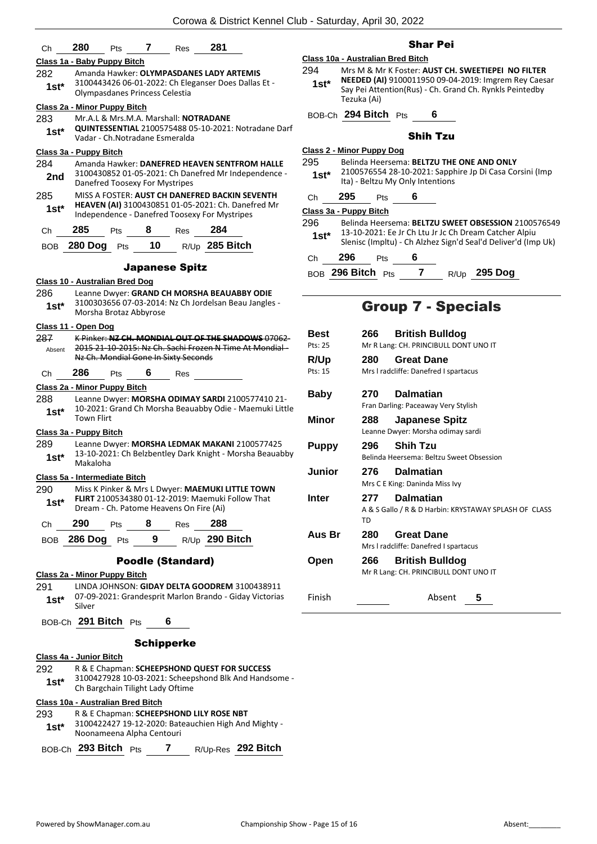| Ch            | 280                                     | Pts        | 7  | Res                      | 281                                                                                                           |               |                                                                       |             |
|---------------|-----------------------------------------|------------|----|--------------------------|---------------------------------------------------------------------------------------------------------------|---------------|-----------------------------------------------------------------------|-------------|
|               | Class 1a - Baby Puppy Bitch             |            |    |                          |                                                                                                               |               | Class 10a - Australian Bred E                                         |             |
| 282<br>$1st*$ | Olympasdanes Princess Celestia          |            |    |                          | Amanda Hawker: OLYMPASDANES LADY ARTEMIS<br>3100443426 06-01-2022: Ch Eleganser Does Dallas Et -              | 294<br>$1st*$ | Mrs M & Mr K Foste<br><b>NEEDED (AI) 91000</b><br>Say Pei Attention(R |             |
|               | Class 2a - Minor Puppy Bitch            |            |    |                          |                                                                                                               |               | Tezuka (Ai)                                                           |             |
| 283           | Mr.A.L & Mrs.M.A. Marshall: NOTRADANE   |            |    |                          |                                                                                                               |               | BOB-Ch 294 Bitch Pts                                                  |             |
| $1st^*$       | Vadar - Ch. Notradane Esmeralda         |            |    |                          | QUINTESSENTIAL 2100575488 05-10-2021: Notradane Darf                                                          |               |                                                                       |             |
|               | Class 3a - Puppy Bitch                  |            |    |                          |                                                                                                               |               | Class 2 - Minor Puppy Dog                                             |             |
| 284           |                                         |            |    |                          | Amanda Hawker: DANEFRED HEAVEN SENTFROM HALLE                                                                 | 295           | Belinda Heersema:                                                     |             |
| 2nd           | Danefred Toosexy For Mystripes          |            |    |                          | 3100430852 01-05-2021: Ch Danefred Mr Independence -                                                          | $1st*$        | 2100576554 28-10-<br>Ita) - Beltzu My Onl                             |             |
| 285           |                                         |            |    |                          | MISS A FOSTER: AUST CH DANEFRED BACKIN SEVENTH                                                                | Ch            | 295<br>Pts                                                            |             |
| $1st*$        |                                         |            |    |                          | HEAVEN (AI) 3100430851 01-05-2021: Ch. Danefred Mr<br>Independence - Danefred Toosexy For Mystripes           |               | Class 3a - Puppy Bitch                                                |             |
| Ch            | 285                                     | Pts        | 8  | Res                      | 284                                                                                                           | 296           | Belinda Heersema:<br>13-10-2021: Ee Jr C                              |             |
| <b>BOB</b>    | 280 Dog Pts                             |            | 10 |                          | R/Up 285 Bitch                                                                                                | $1st*$        | Slenisc (Impltu) - Ch                                                 |             |
|               |                                         |            |    |                          |                                                                                                               | Ch            | 296<br>Pts                                                            |             |
|               |                                         |            |    | <b>Japanese Spitz</b>    |                                                                                                               |               | BOB 296 Bitch Pts                                                     |             |
| 286           | Class 10 - Australian Bred Dog          |            |    |                          | Leanne Dwyer: GRAND CH MORSHA BEAUABBY ODIE                                                                   |               |                                                                       |             |
| $1st^*$       | Morsha Brotaz Abbyrose                  |            |    |                          | 3100303656 07-03-2014: Nz Ch Jordelsan Beau Jangles -                                                         |               | <b>Group</b>                                                          |             |
|               | Class 11 - Open Dog                     |            |    |                          |                                                                                                               | Best          | 266                                                                   | Brit        |
| 287<br>Absent |                                         |            |    |                          | K Pinker: NZ CH. MONDIAL OUT OF THE SHADOWS 07062<br>2015 21-10-2015: Nz Ch. Sachi Frozen N Time At Mondial - | Pts: 25       | Mr R Lang: CH.                                                        |             |
|               | Nz Ch. Mondial Gone In Sixty Seconds    |            |    |                          |                                                                                                               | R/Up          | 280                                                                   | Gre         |
| Ch            | 286                                     | <b>Pts</b> | 6  | Res                      |                                                                                                               | Pts: 15       | Mrs I radcliffe:                                                      |             |
|               | Class 2a - Minor Puppy Bitch            |            |    |                          |                                                                                                               | <b>Baby</b>   | 270                                                                   | Dalı        |
| 288<br>$1st*$ | <b>Town Flirt</b>                       |            |    |                          | Leanne Dwyer: MORSHA ODIMAY SARDI 2100577410 21-<br>10-2021: Grand Ch Morsha Beauabby Odie - Maemuki Little   | Minor         | Fran Darling: Pa<br>288                                               | Jap         |
|               | Class 3a - Puppy Bitch                  |            |    |                          |                                                                                                               |               | Leanne Dwyer:                                                         |             |
| 289           |                                         |            |    |                          | Leanne Dwyer: MORSHA LEDMAK MAKANI 2100577425                                                                 | <b>Puppy</b>  | 296                                                                   | Shil        |
| $1st^*$       | Makaloha                                |            |    |                          | 13-10-2021: Ch Belzbentley Dark Knight - Morsha Beauabby                                                      |               | Belinda Heerser                                                       |             |
|               | Class 5a - Intermediate Bitch           |            |    |                          |                                                                                                               | Junior        | 276                                                                   | Dalı        |
| 290           |                                         |            |    |                          | Miss K Pinker & Mrs L Dwyer: <b>MAEMUKI LITTLE TOWN</b>                                                       |               | Mrs C E King: D                                                       |             |
| $1st^*$       | Dream - Ch. Patome Heavens On Fire (Ai) |            |    |                          | <b>FLIRT 2100534380 01-12-2019: Maemuki Follow That</b>                                                       | <b>Inter</b>  | 277<br>$A & S$ Gallo $/R$                                             | Dalı        |
| Ch            | 290                                     | Pts        | 8  | Res                      | 288                                                                                                           |               | TD                                                                    |             |
| BOB           | 286 Dog                                 | Pts        | 9  |                          | R/Up 290 Bitch                                                                                                | Aus Br        | 280<br>Mrs I radcliffe:                                               | Gre         |
|               |                                         |            |    | <b>Poodle (Standard)</b> |                                                                                                               | Open          | 266                                                                   | <b>Brit</b> |
|               | Class 2a - Minor Puppy Bitch            |            |    |                          |                                                                                                               |               | Mr R Lang: CH.                                                        |             |
| 291<br>$1st*$ | Silver                                  |            |    |                          | LINDA JOHNSON: GIDAY DELTA GOODREM 3100438911<br>07-09-2021: Grandesprit Marlon Brando - Giday Victorias      | Finish        |                                                                       |             |
|               | BOB-Ch 291 Bitch Pts                    |            |    | 6                        |                                                                                                               |               |                                                                       |             |
|               |                                         |            |    | <b>Schipperke</b>        |                                                                                                               |               |                                                                       |             |
|               | Class 4a - Junior Bitch                 |            |    |                          |                                                                                                               |               |                                                                       |             |
| 292           |                                         |            |    |                          | R & E Chapman: SCHEEPSHOND QUEST FOR SUCCESS                                                                  |               |                                                                       |             |
| $1st^*$       | Ch Bargchain Tilight Lady Oftime        |            |    |                          | 3100427928 10-03-2021: Scheepshond Blk And Handsome -                                                         |               |                                                                       |             |
|               | Class 10a - Australian Bred Bitch       |            |    |                          |                                                                                                               |               |                                                                       |             |
| 293           |                                         |            |    |                          | R & E Chapman: SCHEEPSHOND LILY ROSE NBT                                                                      |               |                                                                       |             |
| $1st^*$       | Noonameena Alpha Centouri               |            |    |                          | 3100422427 19-12-2020: Bateauchien High And Mighty -                                                          |               |                                                                       |             |

|  | BOB-Ch $293$ Bitch $Pts$ |  |  |  | R/Up-Res 292 Bitch |
|--|--------------------------|--|--|--|--------------------|
|--|--------------------------|--|--|--|--------------------|

## Shar Pei

|        | Class 10a - Australian Bred Bitch                                                                                              |
|--------|--------------------------------------------------------------------------------------------------------------------------------|
| 294    | Mrs M & Mr K Foster: AUST CH. SWEETIEPEI NO FILTER                                                                             |
| $1st*$ | NEEDED (AI) 9100011950 09-04-2019: Imgrem Rey Caesar<br>Say Pei Attention(Rus) - Ch. Grand Ch. Rynkls Peintedby<br>Tezuka (Ai) |
|        | BOB-Ch 294 Bitch Pts<br>6                                                                                                      |
|        | Shih Tzu                                                                                                                       |

## Shih Tzu

| 295.<br>$1st^*$ | Class 2 - Minor Puppy Dog<br>Belinda Heersema: BELTZU THE ONE AND ONLY<br>2100576554 28-10-2021: Sapphire Jp Di Casa Corsini (Imp<br>Ita) - Beltzu My Only Intentions |                    |   |  |                                                                                                                                                                               |  |
|-----------------|-----------------------------------------------------------------------------------------------------------------------------------------------------------------------|--------------------|---|--|-------------------------------------------------------------------------------------------------------------------------------------------------------------------------------|--|
| Ch              | 295                                                                                                                                                                   | <b>Pts</b>         | 6 |  |                                                                                                                                                                               |  |
|                 | Class 3a - Puppy Bitch                                                                                                                                                |                    |   |  |                                                                                                                                                                               |  |
| 296<br>$1st^*$  |                                                                                                                                                                       |                    |   |  | Belinda Heersema: BELTZU SWEET OBSESSION 2100576549<br>13-10-2021: Ee Jr Ch Ltu Jr Jc Ch Dream Catcher Alpiu<br>Slenisc (Impltu) - Ch Alzhez Sign'd Seal'd Deliver'd (Imp Uk) |  |
| Ch              | 296                                                                                                                                                                   | Pts                | 6 |  |                                                                                                                                                                               |  |
|                 | BOB 296 Bitch Pts                                                                                                                                                     |                    |   |  | R/Up 295 Dog                                                                                                                                                                  |  |
|                 |                                                                                                                                                                       | Group 7 - Specials |   |  |                                                                                                                                                                               |  |

## eciais

| <b>Best</b>  | 266 | <b>British Bulldog</b>                                          |
|--------------|-----|-----------------------------------------------------------------|
| Pts: 25      |     | Mr R Lang: CH. PRINCIBULL DONT UNO IT                           |
| <b>R/Up</b>  | 280 | <b>Great Dane</b>                                               |
| Pts: 15      |     | Mrs I radcliffe: Danefred I spartacus                           |
| Baby         | 270 | <b>Dalmatian</b>                                                |
|              |     | Fran Darling: Paceaway Very Stylish                             |
| Minor        | 288 | <b>Japanese Spitz</b>                                           |
|              |     | Leanne Dwyer: Morsha odimay sardi                               |
| <b>Puppy</b> | 296 | <b>Shih Tzu</b>                                                 |
|              |     | Belinda Heersema: Beltzu Sweet Obsession                        |
| Junior       | 276 | <b>Dalmatian</b>                                                |
|              |     | Mrs C E King: Daninda Miss Ivy                                  |
| Inter        | 277 | <b>Dalmatian</b>                                                |
|              | TD  | A & S Gallo / R & D Harbin: KRYSTAWAY SPLASH OF CLASS           |
| Aus Br       | 280 | <b>Great Dane</b>                                               |
|              |     | Mrs I radcliffe: Danefred I spartacus                           |
| Open         | 266 | <b>British Bulldog</b><br>Mr R Lang: CH. PRINCIBULL DONT UNO IT |
|              |     |                                                                 |
| Finish       |     | Absent<br>5                                                     |
|              |     |                                                                 |